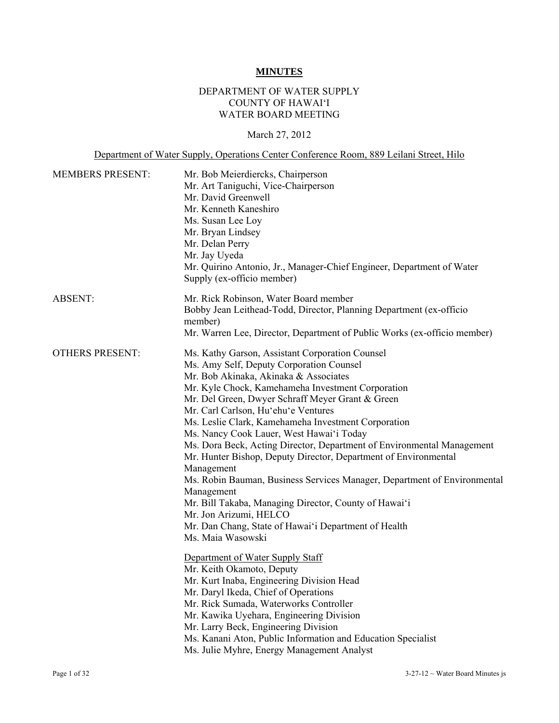# **MINUTES**

## DEPARTMENT OF WATER SUPPLY COUNTY OF HAWAI'I WATER BOARD MEETING

# March 27, 2012

Department of Water Supply, Operations Center Conference Room, 889 Leilani Street, Hilo

| <b>MEMBERS PRESENT:</b> | Mr. Bob Meierdiercks, Chairperson<br>Mr. Art Taniguchi, Vice-Chairperson<br>Mr. David Greenwell<br>Mr. Kenneth Kaneshiro<br>Ms. Susan Lee Loy<br>Mr. Bryan Lindsey<br>Mr. Delan Perry<br>Mr. Jay Uyeda<br>Mr. Quirino Antonio, Jr., Manager-Chief Engineer, Department of Water<br>Supply (ex-officio member)                                                                                                                                                                                                                                                                                                                                                                                                                                                                                                                                                                                                                                                                                                                                                                                                                                                    |
|-------------------------|------------------------------------------------------------------------------------------------------------------------------------------------------------------------------------------------------------------------------------------------------------------------------------------------------------------------------------------------------------------------------------------------------------------------------------------------------------------------------------------------------------------------------------------------------------------------------------------------------------------------------------------------------------------------------------------------------------------------------------------------------------------------------------------------------------------------------------------------------------------------------------------------------------------------------------------------------------------------------------------------------------------------------------------------------------------------------------------------------------------------------------------------------------------|
| <b>ABSENT:</b>          | Mr. Rick Robinson, Water Board member<br>Bobby Jean Leithead-Todd, Director, Planning Department (ex-officio<br>member)<br>Mr. Warren Lee, Director, Department of Public Works (ex-officio member)                                                                                                                                                                                                                                                                                                                                                                                                                                                                                                                                                                                                                                                                                                                                                                                                                                                                                                                                                              |
| <b>OTHERS PRESENT:</b>  | Ms. Kathy Garson, Assistant Corporation Counsel<br>Ms. Amy Self, Deputy Corporation Counsel<br>Mr. Bob Akinaka, Akinaka & Associates<br>Mr. Kyle Chock, Kamehameha Investment Corporation<br>Mr. Del Green, Dwyer Schraff Meyer Grant & Green<br>Mr. Carl Carlson, Hu'ehu'e Ventures<br>Ms. Leslie Clark, Kamehameha Investment Corporation<br>Ms. Nancy Cook Lauer, West Hawai'i Today<br>Ms. Dora Beck, Acting Director, Department of Environmental Management<br>Mr. Hunter Bishop, Deputy Director, Department of Environmental<br>Management<br>Ms. Robin Bauman, Business Services Manager, Department of Environmental<br>Management<br>Mr. Bill Takaba, Managing Director, County of Hawai'i<br>Mr. Jon Arizumi, HELCO<br>Mr. Dan Chang, State of Hawai'i Department of Health<br>Ms. Maia Wasowski<br>Department of Water Supply Staff<br>Mr. Keith Okamoto, Deputy<br>Mr. Kurt Inaba, Engineering Division Head<br>Mr. Daryl Ikeda, Chief of Operations<br>Mr. Rick Sumada, Waterworks Controller<br>Mr. Kawika Uyehara, Engineering Division<br>Mr. Larry Beck, Engineering Division<br>Ms. Kanani Aton, Public Information and Education Specialist |
|                         | Ms. Julie Myhre, Energy Management Analyst                                                                                                                                                                                                                                                                                                                                                                                                                                                                                                                                                                                                                                                                                                                                                                                                                                                                                                                                                                                                                                                                                                                       |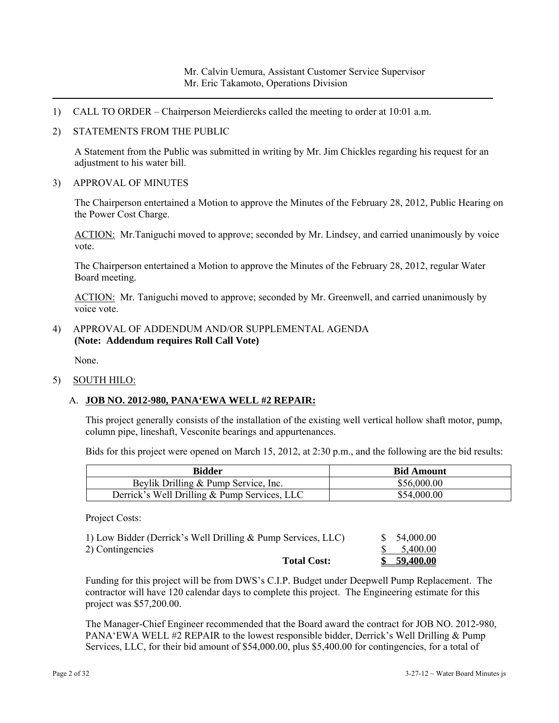- 1) CALL TO ORDER Chairperson Meierdiercks called the meeting to order at 10:01 a.m.
- 2) STATEMENTS FROM THE PUBLIC

A Statement from the Public was submitted in writing by Mr. Jim Chickles regarding his request for an adjustment to his water bill.

3) APPROVAL OF MINUTES

The Chairperson entertained a Motion to approve the Minutes of the February 28, 2012, Public Hearing on the Power Cost Charge.

ACTION: Mr.Taniguchi moved to approve; seconded by Mr. Lindsey, and carried unanimously by voice vote.

The Chairperson entertained a Motion to approve the Minutes of the February 28, 2012, regular Water Board meeting.

ACTION: Mr. Taniguchi moved to approve; seconded by Mr. Greenwell, and carried unanimously by voice vote.

4) APPROVAL OF ADDENDUM AND/OR SUPPLEMENTAL AGENDA **(Note: Addendum requires Roll Call Vote)** 

None.

5) SOUTH HILO:

## A. **JOB NO. 2012-980, PANA'EWA WELL #2 REPAIR:**

This project generally consists of the installation of the existing well vertical hollow shaft motor, pump, column pipe, lineshaft, Vesconite bearings and appurtenances.

Bids for this project were opened on March 15, 2012, at 2:30 p.m., and the following are the bid results:

| <b>Bidder</b>                                | <b>Bid Amount</b> |
|----------------------------------------------|-------------------|
| Beylik Drilling & Pump Service, Inc.         | \$56,000.00       |
| Derrick's Well Drilling & Pump Services, LLC | \$54,000.00       |

Project Costs:

| 1) Low Bidder (Derrick's Well Drilling & Pump Services, LLC) | \$ 54,000.00          |
|--------------------------------------------------------------|-----------------------|
| 2) Contingencies                                             | $\frac{\$}{5,400.00}$ |
| <b>Total Cost:</b>                                           | \$59,400.00           |

Funding for this project will be from DWS's C.I.P. Budget under Deepwell Pump Replacement. The contractor will have 120 calendar days to complete this project. The Engineering estimate for this project was \$57,200.00.

The Manager-Chief Engineer recommended that the Board award the contract for JOB NO. 2012-980, PANA'EWA WELL #2 REPAIR to the lowest responsible bidder, Derrick's Well Drilling & Pump Services, LLC, for their bid amount of \$54,000.00, plus \$5,400.00 for contingencies, for a total of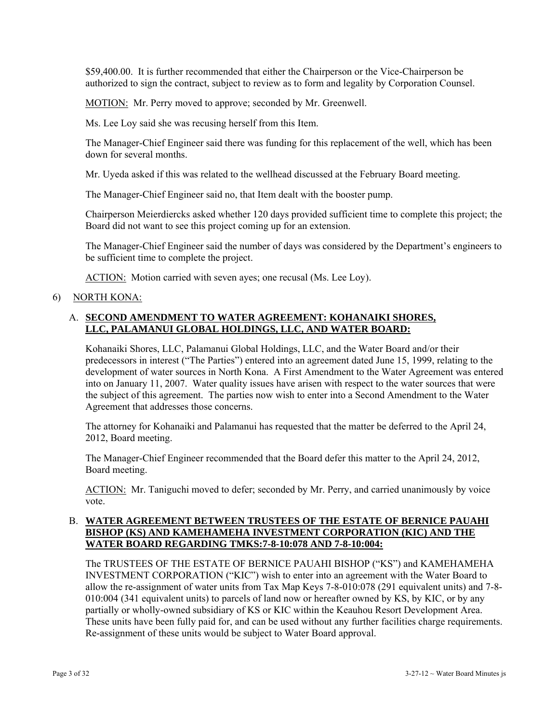\$59,400.00. It is further recommended that either the Chairperson or the Vice-Chairperson be authorized to sign the contract, subject to review as to form and legality by Corporation Counsel.

MOTION: Mr. Perry moved to approve; seconded by Mr. Greenwell.

Ms. Lee Loy said she was recusing herself from this Item.

The Manager-Chief Engineer said there was funding for this replacement of the well, which has been down for several months.

Mr. Uyeda asked if this was related to the wellhead discussed at the February Board meeting.

The Manager-Chief Engineer said no, that Item dealt with the booster pump.

Chairperson Meierdiercks asked whether 120 days provided sufficient time to complete this project; the Board did not want to see this project coming up for an extension.

The Manager-Chief Engineer said the number of days was considered by the Department's engineers to be sufficient time to complete the project.

ACTION: Motion carried with seven ayes; one recusal (Ms. Lee Loy).

## 6) NORTH KONA:

## A. **SECOND AMENDMENT TO WATER AGREEMENT: KOHANAIKI SHORES, LLC, PALAMANUI GLOBAL HOLDINGS, LLC, AND WATER BOARD:**

Kohanaiki Shores, LLC, Palamanui Global Holdings, LLC, and the Water Board and/or their predecessors in interest ("The Parties") entered into an agreement dated June 15, 1999, relating to the development of water sources in North Kona. A First Amendment to the Water Agreement was entered into on January 11, 2007. Water quality issues have arisen with respect to the water sources that were the subject of this agreement. The parties now wish to enter into a Second Amendment to the Water Agreement that addresses those concerns.

The attorney for Kohanaiki and Palamanui has requested that the matter be deferred to the April 24, 2012, Board meeting.

The Manager-Chief Engineer recommended that the Board defer this matter to the April 24, 2012, Board meeting.

ACTION: Mr. Taniguchi moved to defer; seconded by Mr. Perry, and carried unanimously by voice vote.

## B. **WATER AGREEMENT BETWEEN TRUSTEES OF THE ESTATE OF BERNICE PAUAHI BISHOP (KS) AND KAMEHAMEHA INVESTMENT CORPORATION (KIC) AND THE WATER BOARD REGARDING TMKS:7-8-10:078 AND 7-8-10:004:**

The TRUSTEES OF THE ESTATE OF BERNICE PAUAHI BISHOP ("KS") and KAMEHAMEHA INVESTMENT CORPORATION ("KIC") wish to enter into an agreement with the Water Board to allow the re-assignment of water units from Tax Map Keys 7-8-010:078 (291 equivalent units) and 7-8- 010:004 (341 equivalent units) to parcels of land now or hereafter owned by KS, by KIC, or by any partially or wholly-owned subsidiary of KS or KIC within the Keauhou Resort Development Area. These units have been fully paid for, and can be used without any further facilities charge requirements. Re-assignment of these units would be subject to Water Board approval.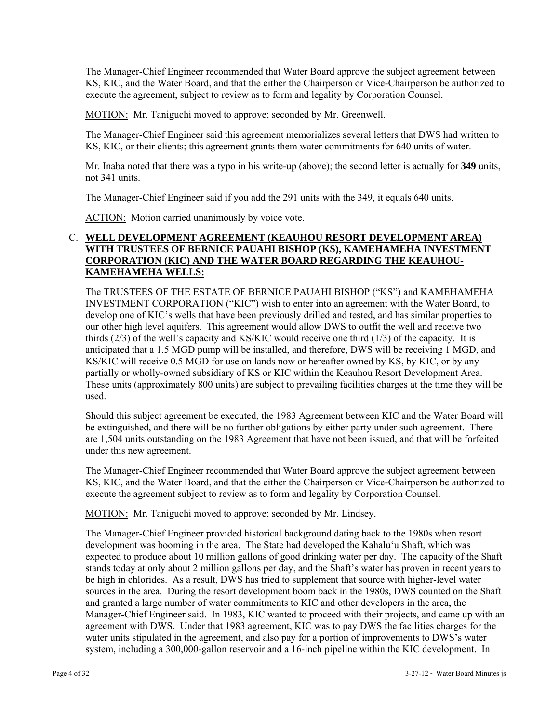The Manager-Chief Engineer recommended that Water Board approve the subject agreement between KS, KIC, and the Water Board, and that the either the Chairperson or Vice-Chairperson be authorized to execute the agreement, subject to review as to form and legality by Corporation Counsel.

MOTION: Mr. Taniguchi moved to approve; seconded by Mr. Greenwell.

The Manager-Chief Engineer said this agreement memorializes several letters that DWS had written to KS, KIC, or their clients; this agreement grants them water commitments for 640 units of water.

Mr. Inaba noted that there was a typo in his write-up (above); the second letter is actually for **349** units, not 341 units.

The Manager-Chief Engineer said if you add the 291 units with the 349, it equals 640 units.

ACTION: Motion carried unanimously by voice vote.

## C. **WELL DEVELOPMENT AGREEMENT (KEAUHOU RESORT DEVELOPMENT AREA) WITH TRUSTEES OF BERNICE PAUAHI BISHOP (KS), KAMEHAMEHA INVESTMENT CORPORATION (KIC) AND THE WATER BOARD REGARDING THE KEAUHOU-KAMEHAMEHA WELLS:**

The TRUSTEES OF THE ESTATE OF BERNICE PAUAHI BISHOP ("KS") and KAMEHAMEHA INVESTMENT CORPORATION ("KIC") wish to enter into an agreement with the Water Board, to develop one of KIC's wells that have been previously drilled and tested, and has similar properties to our other high level aquifers. This agreement would allow DWS to outfit the well and receive two thirds (2/3) of the well's capacity and KS/KIC would receive one third (1/3) of the capacity. It is anticipated that a 1.5 MGD pump will be installed, and therefore, DWS will be receiving 1 MGD, and KS/KIC will receive 0.5 MGD for use on lands now or hereafter owned by KS, by KIC, or by any partially or wholly-owned subsidiary of KS or KIC within the Keauhou Resort Development Area. These units (approximately 800 units) are subject to prevailing facilities charges at the time they will be used.

Should this subject agreement be executed, the 1983 Agreement between KIC and the Water Board will be extinguished, and there will be no further obligations by either party under such agreement. There are 1,504 units outstanding on the 1983 Agreement that have not been issued, and that will be forfeited under this new agreement.

The Manager-Chief Engineer recommended that Water Board approve the subject agreement between KS, KIC, and the Water Board, and that the either the Chairperson or Vice-Chairperson be authorized to execute the agreement subject to review as to form and legality by Corporation Counsel.

MOTION: Mr. Taniguchi moved to approve; seconded by Mr. Lindsey.

The Manager-Chief Engineer provided historical background dating back to the 1980s when resort development was booming in the area. The State had developed the Kahalu'u Shaft, which was expected to produce about 10 million gallons of good drinking water per day. The capacity of the Shaft stands today at only about 2 million gallons per day, and the Shaft's water has proven in recent years to be high in chlorides. As a result, DWS has tried to supplement that source with higher-level water sources in the area. During the resort development boom back in the 1980s, DWS counted on the Shaft and granted a large number of water commitments to KIC and other developers in the area, the Manager-Chief Engineer said. In 1983, KIC wanted to proceed with their projects, and came up with an agreement with DWS. Under that 1983 agreement, KIC was to pay DWS the facilities charges for the water units stipulated in the agreement, and also pay for a portion of improvements to DWS's water system, including a 300,000-gallon reservoir and a 16-inch pipeline within the KIC development. In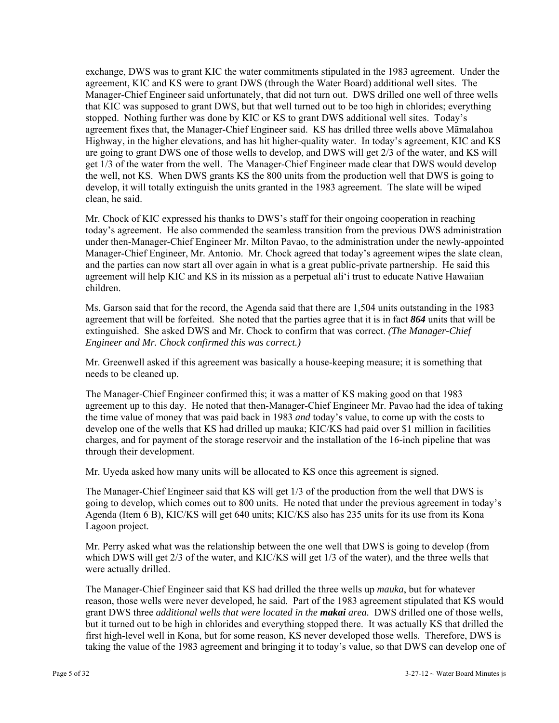exchange, DWS was to grant KIC the water commitments stipulated in the 1983 agreement. Under the agreement, KIC and KS were to grant DWS (through the Water Board) additional well sites. The Manager-Chief Engineer said unfortunately, that did not turn out. DWS drilled one well of three wells that KIC was supposed to grant DWS, but that well turned out to be too high in chlorides; everything stopped. Nothing further was done by KIC or KS to grant DWS additional well sites. Today's agreement fixes that, the Manager-Chief Engineer said. KS has drilled three wells above Māmalahoa Highway, in the higher elevations, and has hit higher-quality water. In today's agreement, KIC and KS are going to grant DWS one of those wells to develop, and DWS will get 2/3 of the water, and KS will get 1/3 of the water from the well. The Manager-Chief Engineer made clear that DWS would develop the well, not KS. When DWS grants KS the 800 units from the production well that DWS is going to develop, it will totally extinguish the units granted in the 1983 agreement. The slate will be wiped clean, he said.

Mr. Chock of KIC expressed his thanks to DWS's staff for their ongoing cooperation in reaching today's agreement. He also commended the seamless transition from the previous DWS administration under then-Manager-Chief Engineer Mr. Milton Pavao, to the administration under the newly-appointed Manager-Chief Engineer, Mr. Antonio. Mr. Chock agreed that today's agreement wipes the slate clean, and the parties can now start all over again in what is a great public-private partnership. He said this agreement will help KIC and KS in its mission as a perpetual ali'i trust to educate Native Hawaiian children.

Ms. Garson said that for the record, the Agenda said that there are 1,504 units outstanding in the 1983 agreement that will be forfeited. She noted that the parties agree that it is in fact *864* units that will be extinguished. She asked DWS and Mr. Chock to confirm that was correct. *(The Manager-Chief Engineer and Mr. Chock confirmed this was correct.)* 

Mr. Greenwell asked if this agreement was basically a house-keeping measure; it is something that needs to be cleaned up.

The Manager-Chief Engineer confirmed this; it was a matter of KS making good on that 1983 agreement up to this day. He noted that then-Manager-Chief Engineer Mr. Pavao had the idea of taking the time value of money that was paid back in 1983 *and* today's value, to come up with the costs to develop one of the wells that KS had drilled up mauka; KIC/KS had paid over \$1 million in facilities charges, and for payment of the storage reservoir and the installation of the 16-inch pipeline that was through their development.

Mr. Uyeda asked how many units will be allocated to KS once this agreement is signed.

The Manager-Chief Engineer said that KS will get 1/3 of the production from the well that DWS is going to develop, which comes out to 800 units. He noted that under the previous agreement in today's Agenda (Item 6 B), KIC/KS will get 640 units; KIC/KS also has 235 units for its use from its Kona Lagoon project.

Mr. Perry asked what was the relationship between the one well that DWS is going to develop (from which DWS will get 2/3 of the water, and KIC/KS will get 1/3 of the water), and the three wells that were actually drilled.

The Manager-Chief Engineer said that KS had drilled the three wells up *mauka*, but for whatever reason, those wells were never developed, he said. Part of the 1983 agreement stipulated that KS would grant DWS three *additional wells that were located in the makai area.* DWS drilled one of those wells, but it turned out to be high in chlorides and everything stopped there. It was actually KS that drilled the first high-level well in Kona, but for some reason, KS never developed those wells. Therefore, DWS is taking the value of the 1983 agreement and bringing it to today's value, so that DWS can develop one of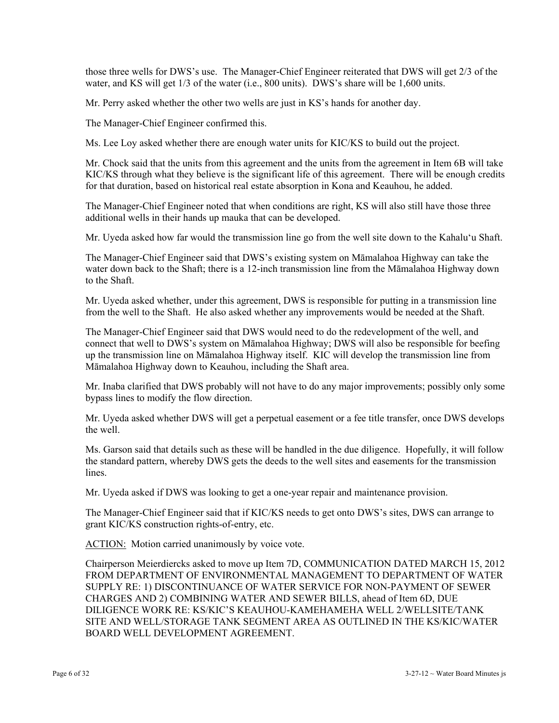those three wells for DWS's use. The Manager-Chief Engineer reiterated that DWS will get 2/3 of the water, and KS will get  $1/3$  of the water (i.e., 800 units). DWS's share will be 1,600 units.

Mr. Perry asked whether the other two wells are just in KS's hands for another day.

The Manager-Chief Engineer confirmed this.

Ms. Lee Loy asked whether there are enough water units for KIC/KS to build out the project.

Mr. Chock said that the units from this agreement and the units from the agreement in Item 6B will take KIC/KS through what they believe is the significant life of this agreement. There will be enough credits for that duration, based on historical real estate absorption in Kona and Keauhou, he added.

The Manager-Chief Engineer noted that when conditions are right, KS will also still have those three additional wells in their hands up mauka that can be developed.

Mr. Uyeda asked how far would the transmission line go from the well site down to the Kahalu'u Shaft.

The Manager-Chief Engineer said that DWS's existing system on Māmalahoa Highway can take the water down back to the Shaft; there is a 12-inch transmission line from the Māmalahoa Highway down to the Shaft.

Mr. Uyeda asked whether, under this agreement, DWS is responsible for putting in a transmission line from the well to the Shaft. He also asked whether any improvements would be needed at the Shaft.

The Manager-Chief Engineer said that DWS would need to do the redevelopment of the well, and connect that well to DWS's system on Māmalahoa Highway; DWS will also be responsible for beefing up the transmission line on Māmalahoa Highway itself. KIC will develop the transmission line from Māmalahoa Highway down to Keauhou, including the Shaft area.

Mr. Inaba clarified that DWS probably will not have to do any major improvements; possibly only some bypass lines to modify the flow direction.

Mr. Uyeda asked whether DWS will get a perpetual easement or a fee title transfer, once DWS develops the well.

Ms. Garson said that details such as these will be handled in the due diligence. Hopefully, it will follow the standard pattern, whereby DWS gets the deeds to the well sites and easements for the transmission lines.

Mr. Uyeda asked if DWS was looking to get a one-year repair and maintenance provision.

The Manager-Chief Engineer said that if KIC/KS needs to get onto DWS's sites, DWS can arrange to grant KIC/KS construction rights-of-entry, etc.

ACTION: Motion carried unanimously by voice vote.

Chairperson Meierdiercks asked to move up Item 7D, COMMUNICATION DATED MARCH 15, 2012 FROM DEPARTMENT OF ENVIRONMENTAL MANAGEMENT TO DEPARTMENT OF WATER SUPPLY RE: 1) DISCONTINUANCE OF WATER SERVICE FOR NON-PAYMENT OF SEWER CHARGES AND 2) COMBINING WATER AND SEWER BILLS, ahead of Item 6D, DUE DILIGENCE WORK RE: KS/KIC'S KEAUHOU-KAMEHAMEHA WELL 2/WELLSITE/TANK SITE AND WELL/STORAGE TANK SEGMENT AREA AS OUTLINED IN THE KS/KIC/WATER BOARD WELL DEVELOPMENT AGREEMENT.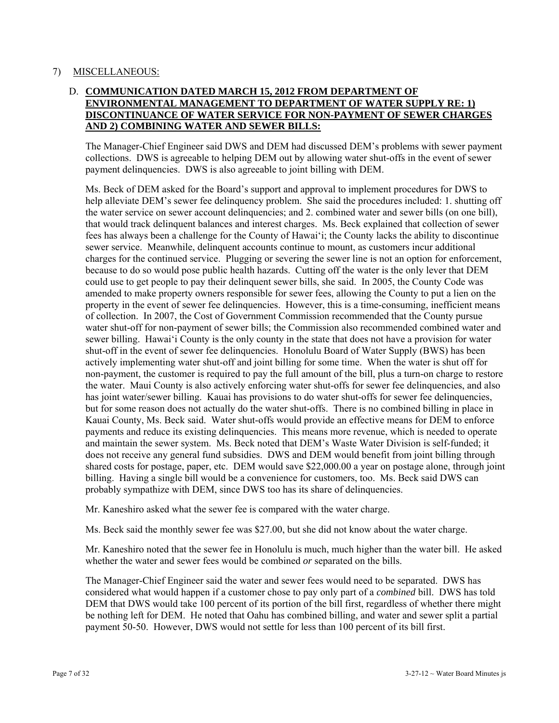### 7) MISCELLANEOUS:

## D. **COMMUNICATION DATED MARCH 15, 2012 FROM DEPARTMENT OF ENVIRONMENTAL MANAGEMENT TO DEPARTMENT OF WATER SUPPLY RE: 1) DISCONTINUANCE OF WATER SERVICE FOR NON-PAYMENT OF SEWER CHARGES AND 2) COMBINING WATER AND SEWER BILLS:**

The Manager-Chief Engineer said DWS and DEM had discussed DEM's problems with sewer payment collections. DWS is agreeable to helping DEM out by allowing water shut-offs in the event of sewer payment delinquencies. DWS is also agreeable to joint billing with DEM.

Ms. Beck of DEM asked for the Board's support and approval to implement procedures for DWS to help alleviate DEM's sewer fee delinquency problem. She said the procedures included: 1. shutting off the water service on sewer account delinquencies; and 2. combined water and sewer bills (on one bill), that would track delinquent balances and interest charges. Ms. Beck explained that collection of sewer fees has always been a challenge for the County of Hawai'i; the County lacks the ability to discontinue sewer service. Meanwhile, delinquent accounts continue to mount, as customers incur additional charges for the continued service. Plugging or severing the sewer line is not an option for enforcement, because to do so would pose public health hazards. Cutting off the water is the only lever that DEM could use to get people to pay their delinquent sewer bills, she said. In 2005, the County Code was amended to make property owners responsible for sewer fees, allowing the County to put a lien on the property in the event of sewer fee delinquencies. However, this is a time-consuming, inefficient means of collection. In 2007, the Cost of Government Commission recommended that the County pursue water shut-off for non-payment of sewer bills; the Commission also recommended combined water and sewer billing. Hawai'i County is the only county in the state that does not have a provision for water shut-off in the event of sewer fee delinquencies. Honolulu Board of Water Supply (BWS) has been actively implementing water shut-off and joint billing for some time. When the water is shut off for non-payment, the customer is required to pay the full amount of the bill, plus a turn-on charge to restore the water. Maui County is also actively enforcing water shut-offs for sewer fee delinquencies, and also has joint water/sewer billing. Kauai has provisions to do water shut-offs for sewer fee delinquencies, but for some reason does not actually do the water shut-offs. There is no combined billing in place in Kauai County, Ms. Beck said. Water shut-offs would provide an effective means for DEM to enforce payments and reduce its existing delinquencies. This means more revenue, which is needed to operate and maintain the sewer system. Ms. Beck noted that DEM's Waste Water Division is self-funded; it does not receive any general fund subsidies. DWS and DEM would benefit from joint billing through shared costs for postage, paper, etc. DEM would save \$22,000.00 a year on postage alone, through joint billing. Having a single bill would be a convenience for customers, too. Ms. Beck said DWS can probably sympathize with DEM, since DWS too has its share of delinquencies.

Mr. Kaneshiro asked what the sewer fee is compared with the water charge.

Ms. Beck said the monthly sewer fee was \$27.00, but she did not know about the water charge.

Mr. Kaneshiro noted that the sewer fee in Honolulu is much, much higher than the water bill. He asked whether the water and sewer fees would be combined *or* separated on the bills.

The Manager-Chief Engineer said the water and sewer fees would need to be separated. DWS has considered what would happen if a customer chose to pay only part of a *combined* bill. DWS has told DEM that DWS would take 100 percent of its portion of the bill first, regardless of whether there might be nothing left for DEM. He noted that Oahu has combined billing, and water and sewer split a partial payment 50-50. However, DWS would not settle for less than 100 percent of its bill first.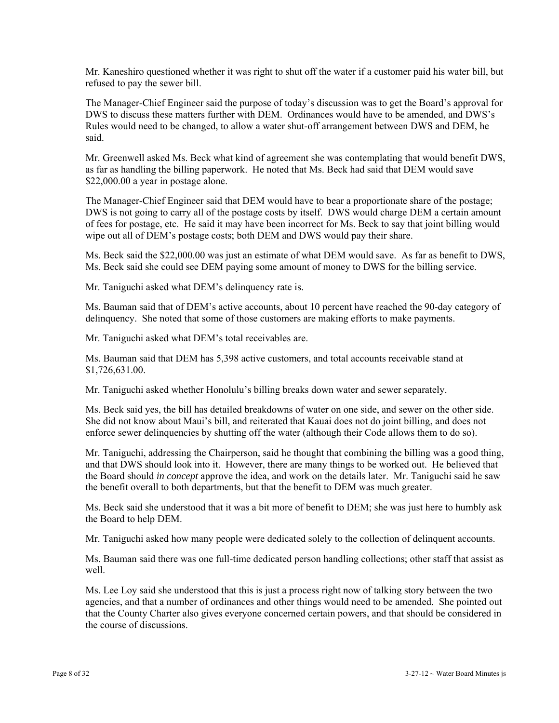Mr. Kaneshiro questioned whether it was right to shut off the water if a customer paid his water bill, but refused to pay the sewer bill.

The Manager-Chief Engineer said the purpose of today's discussion was to get the Board's approval for DWS to discuss these matters further with DEM. Ordinances would have to be amended, and DWS's Rules would need to be changed, to allow a water shut-off arrangement between DWS and DEM, he said.

Mr. Greenwell asked Ms. Beck what kind of agreement she was contemplating that would benefit DWS, as far as handling the billing paperwork. He noted that Ms. Beck had said that DEM would save \$22,000.00 a year in postage alone.

The Manager-Chief Engineer said that DEM would have to bear a proportionate share of the postage; DWS is not going to carry all of the postage costs by itself. DWS would charge DEM a certain amount of fees for postage, etc. He said it may have been incorrect for Ms. Beck to say that joint billing would wipe out all of DEM's postage costs; both DEM and DWS would pay their share.

Ms. Beck said the \$22,000.00 was just an estimate of what DEM would save. As far as benefit to DWS, Ms. Beck said she could see DEM paying some amount of money to DWS for the billing service.

Mr. Taniguchi asked what DEM's delinquency rate is.

Ms. Bauman said that of DEM's active accounts, about 10 percent have reached the 90-day category of delinquency. She noted that some of those customers are making efforts to make payments.

Mr. Taniguchi asked what DEM's total receivables are.

Ms. Bauman said that DEM has 5,398 active customers, and total accounts receivable stand at \$1,726,631.00.

Mr. Taniguchi asked whether Honolulu's billing breaks down water and sewer separately.

Ms. Beck said yes, the bill has detailed breakdowns of water on one side, and sewer on the other side. She did not know about Maui's bill, and reiterated that Kauai does not do joint billing, and does not enforce sewer delinquencies by shutting off the water (although their Code allows them to do so).

Mr. Taniguchi, addressing the Chairperson, said he thought that combining the billing was a good thing, and that DWS should look into it. However, there are many things to be worked out. He believed that the Board should *in concept* approve the idea, and work on the details later. Mr. Taniguchi said he saw the benefit overall to both departments, but that the benefit to DEM was much greater.

Ms. Beck said she understood that it was a bit more of benefit to DEM; she was just here to humbly ask the Board to help DEM.

Mr. Taniguchi asked how many people were dedicated solely to the collection of delinquent accounts.

Ms. Bauman said there was one full-time dedicated person handling collections; other staff that assist as well.

Ms. Lee Loy said she understood that this is just a process right now of talking story between the two agencies, and that a number of ordinances and other things would need to be amended. She pointed out that the County Charter also gives everyone concerned certain powers, and that should be considered in the course of discussions.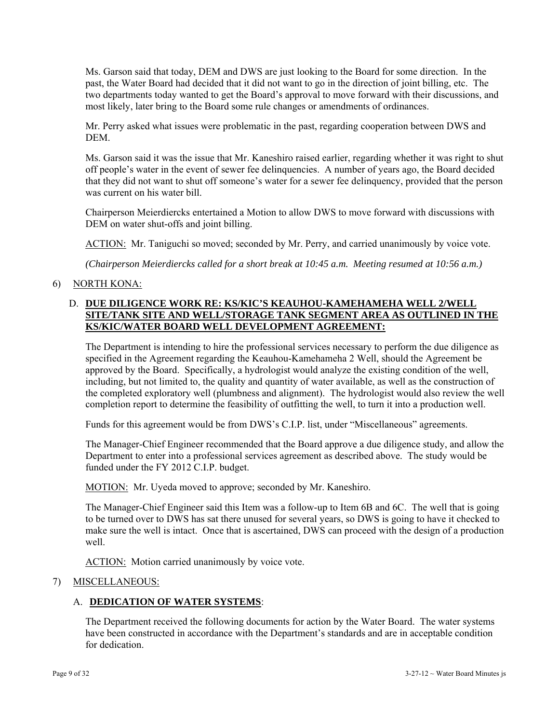Ms. Garson said that today, DEM and DWS are just looking to the Board for some direction. In the past, the Water Board had decided that it did not want to go in the direction of joint billing, etc. The two departments today wanted to get the Board's approval to move forward with their discussions, and most likely, later bring to the Board some rule changes or amendments of ordinances.

Mr. Perry asked what issues were problematic in the past, regarding cooperation between DWS and **DEM** 

Ms. Garson said it was the issue that Mr. Kaneshiro raised earlier, regarding whether it was right to shut off people's water in the event of sewer fee delinquencies. A number of years ago, the Board decided that they did not want to shut off someone's water for a sewer fee delinquency, provided that the person was current on his water bill.

Chairperson Meierdiercks entertained a Motion to allow DWS to move forward with discussions with DEM on water shut-offs and joint billing.

ACTION: Mr. Taniguchi so moved; seconded by Mr. Perry, and carried unanimously by voice vote.

*(Chairperson Meierdiercks called for a short break at 10:45 a.m. Meeting resumed at 10:56 a.m.)* 

6) NORTH KONA:

## D. **DUE DILIGENCE WORK RE: KS/KIC'S KEAUHOU-KAMEHAMEHA WELL 2/WELL SITE/TANK SITE AND WELL/STORAGE TANK SEGMENT AREA AS OUTLINED IN THE KS/KIC/WATER BOARD WELL DEVELOPMENT AGREEMENT:**

The Department is intending to hire the professional services necessary to perform the due diligence as specified in the Agreement regarding the Keauhou-Kamehameha 2 Well, should the Agreement be approved by the Board. Specifically, a hydrologist would analyze the existing condition of the well, including, but not limited to, the quality and quantity of water available, as well as the construction of the completed exploratory well (plumbness and alignment). The hydrologist would also review the well completion report to determine the feasibility of outfitting the well, to turn it into a production well.

Funds for this agreement would be from DWS's C.I.P. list, under "Miscellaneous" agreements.

The Manager-Chief Engineer recommended that the Board approve a due diligence study, and allow the Department to enter into a professional services agreement as described above. The study would be funded under the FY 2012 C.I.P. budget.

MOTION: Mr. Uyeda moved to approve; seconded by Mr. Kaneshiro.

The Manager-Chief Engineer said this Item was a follow-up to Item 6B and 6C. The well that is going to be turned over to DWS has sat there unused for several years, so DWS is going to have it checked to make sure the well is intact. Once that is ascertained, DWS can proceed with the design of a production well.

ACTION: Motion carried unanimously by voice vote.

## 7) MISCELLANEOUS:

## A. **DEDICATION OF WATER SYSTEMS**:

The Department received the following documents for action by the Water Board. The water systems have been constructed in accordance with the Department's standards and are in acceptable condition for dedication.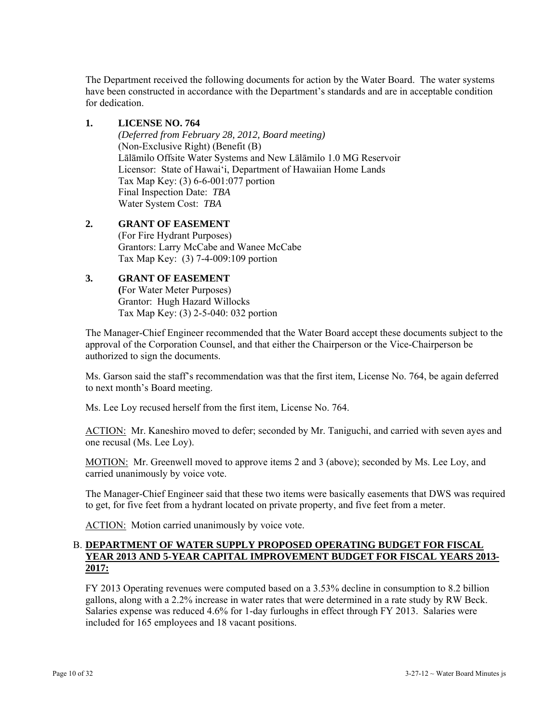The Department received the following documents for action by the Water Board. The water systems have been constructed in accordance with the Department's standards and are in acceptable condition for dedication.

## **1. LICENSE NO. 764**

*(Deferred from February 28, 2012, Board meeting)*  (Non-Exclusive Right) (Benefit (B) Lālāmilo Offsite Water Systems and New Lālāmilo 1.0 MG Reservoir Licensor: State of Hawai'i, Department of Hawaiian Home Lands Tax Map Key: (3) 6-6-001:077 portion Final Inspection Date: *TBA* Water System Cost: *TBA*

### **2. GRANT OF EASEMENT**  (For Fire Hydrant Purposes) Grantors: Larry McCabe and Wanee McCabe Tax Map Key: (3) 7-4-009:109 portion

## **3. GRANT OF EASEMENT**

 **(**For Water Meter Purposes) Grantor: Hugh Hazard Willocks Tax Map Key: (3) 2-5-040: 032 portion

The Manager-Chief Engineer recommended that the Water Board accept these documents subject to the approval of the Corporation Counsel, and that either the Chairperson or the Vice-Chairperson be authorized to sign the documents.

Ms. Garson said the staff's recommendation was that the first item, License No. 764, be again deferred to next month's Board meeting.

Ms. Lee Loy recused herself from the first item, License No. 764.

ACTION: Mr. Kaneshiro moved to defer; seconded by Mr. Taniguchi, and carried with seven ayes and one recusal (Ms. Lee Loy).

MOTION: Mr. Greenwell moved to approve items 2 and 3 (above); seconded by Ms. Lee Loy, and carried unanimously by voice vote.

The Manager-Chief Engineer said that these two items were basically easements that DWS was required to get, for five feet from a hydrant located on private property, and five feet from a meter.

ACTION: Motion carried unanimously by voice vote.

## B. **DEPARTMENT OF WATER SUPPLY PROPOSED OPERATING BUDGET FOR FISCAL YEAR 2013 AND 5-YEAR CAPITAL IMPROVEMENT BUDGET FOR FISCAL YEARS 2013- 2017:**

FY 2013 Operating revenues were computed based on a 3.53% decline in consumption to 8.2 billion gallons, along with a 2.2% increase in water rates that were determined in a rate study by RW Beck. Salaries expense was reduced 4.6% for 1-day furloughs in effect through FY 2013. Salaries were included for 165 employees and 18 vacant positions.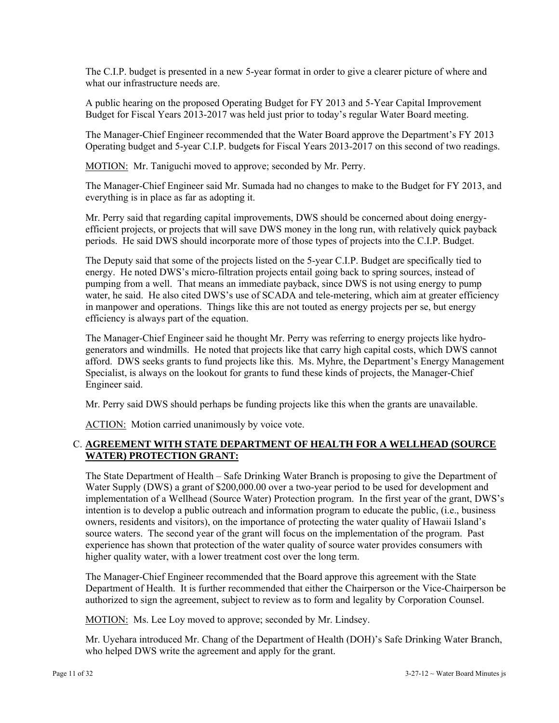The C.I.P. budget is presented in a new 5-year format in order to give a clearer picture of where and what our infrastructure needs are.

A public hearing on the proposed Operating Budget for FY 2013 and 5-Year Capital Improvement Budget for Fiscal Years 2013-2017 was held just prior to today's regular Water Board meeting.

The Manager-Chief Engineer recommended that the Water Board approve the Department's FY 2013 Operating budget and 5-year C.I.P. budgets for Fiscal Years 2013-2017 on this second of two readings.

MOTION: Mr. Taniguchi moved to approve; seconded by Mr. Perry.

The Manager-Chief Engineer said Mr. Sumada had no changes to make to the Budget for FY 2013, and everything is in place as far as adopting it.

Mr. Perry said that regarding capital improvements, DWS should be concerned about doing energyefficient projects, or projects that will save DWS money in the long run, with relatively quick payback periods. He said DWS should incorporate more of those types of projects into the C.I.P. Budget.

The Deputy said that some of the projects listed on the 5-year C.I.P. Budget are specifically tied to energy. He noted DWS's micro-filtration projects entail going back to spring sources, instead of pumping from a well. That means an immediate payback, since DWS is not using energy to pump water, he said. He also cited DWS's use of SCADA and tele-metering, which aim at greater efficiency in manpower and operations. Things like this are not touted as energy projects per se, but energy efficiency is always part of the equation.

The Manager-Chief Engineer said he thought Mr. Perry was referring to energy projects like hydrogenerators and windmills. He noted that projects like that carry high capital costs, which DWS cannot afford. DWS seeks grants to fund projects like this. Ms. Myhre, the Department's Energy Management Specialist, is always on the lookout for grants to fund these kinds of projects, the Manager-Chief Engineer said.

Mr. Perry said DWS should perhaps be funding projects like this when the grants are unavailable.

ACTION: Motion carried unanimously by voice vote.

## C. **AGREEMENT WITH STATE DEPARTMENT OF HEALTH FOR A WELLHEAD (SOURCE WATER) PROTECTION GRANT:**

The State Department of Health – Safe Drinking Water Branch is proposing to give the Department of Water Supply (DWS) a grant of \$200,000.00 over a two-year period to be used for development and implementation of a Wellhead (Source Water) Protection program. In the first year of the grant, DWS's intention is to develop a public outreach and information program to educate the public, (i.e., business owners, residents and visitors), on the importance of protecting the water quality of Hawaii Island's source waters. The second year of the grant will focus on the implementation of the program. Past experience has shown that protection of the water quality of source water provides consumers with higher quality water, with a lower treatment cost over the long term.

The Manager-Chief Engineer recommended that the Board approve this agreement with the State Department of Health. It is further recommended that either the Chairperson or the Vice-Chairperson be authorized to sign the agreement, subject to review as to form and legality by Corporation Counsel.

MOTION: Ms. Lee Loy moved to approve; seconded by Mr. Lindsey.

Mr. Uyehara introduced Mr. Chang of the Department of Health (DOH)'s Safe Drinking Water Branch, who helped DWS write the agreement and apply for the grant.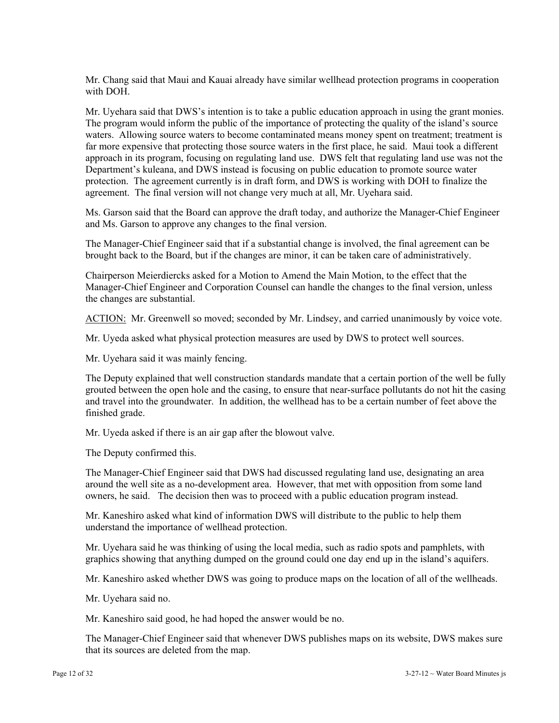Mr. Chang said that Maui and Kauai already have similar wellhead protection programs in cooperation with DOH.

Mr. Uyehara said that DWS's intention is to take a public education approach in using the grant monies. The program would inform the public of the importance of protecting the quality of the island's source waters. Allowing source waters to become contaminated means money spent on treatment; treatment is far more expensive that protecting those source waters in the first place, he said. Maui took a different approach in its program, focusing on regulating land use. DWS felt that regulating land use was not the Department's kuleana, and DWS instead is focusing on public education to promote source water protection. The agreement currently is in draft form, and DWS is working with DOH to finalize the agreement. The final version will not change very much at all, Mr. Uyehara said.

Ms. Garson said that the Board can approve the draft today, and authorize the Manager-Chief Engineer and Ms. Garson to approve any changes to the final version.

The Manager-Chief Engineer said that if a substantial change is involved, the final agreement can be brought back to the Board, but if the changes are minor, it can be taken care of administratively.

Chairperson Meierdiercks asked for a Motion to Amend the Main Motion, to the effect that the Manager-Chief Engineer and Corporation Counsel can handle the changes to the final version, unless the changes are substantial.

ACTION: Mr. Greenwell so moved; seconded by Mr. Lindsey, and carried unanimously by voice vote.

Mr. Uyeda asked what physical protection measures are used by DWS to protect well sources.

Mr. Uyehara said it was mainly fencing.

The Deputy explained that well construction standards mandate that a certain portion of the well be fully grouted between the open hole and the casing, to ensure that near-surface pollutants do not hit the casing and travel into the groundwater. In addition, the wellhead has to be a certain number of feet above the finished grade.

Mr. Uyeda asked if there is an air gap after the blowout valve.

The Deputy confirmed this.

The Manager-Chief Engineer said that DWS had discussed regulating land use, designating an area around the well site as a no-development area. However, that met with opposition from some land owners, he said. The decision then was to proceed with a public education program instead.

Mr. Kaneshiro asked what kind of information DWS will distribute to the public to help them understand the importance of wellhead protection.

Mr. Uyehara said he was thinking of using the local media, such as radio spots and pamphlets, with graphics showing that anything dumped on the ground could one day end up in the island's aquifers.

Mr. Kaneshiro asked whether DWS was going to produce maps on the location of all of the wellheads.

Mr. Uyehara said no.

Mr. Kaneshiro said good, he had hoped the answer would be no.

The Manager-Chief Engineer said that whenever DWS publishes maps on its website, DWS makes sure that its sources are deleted from the map.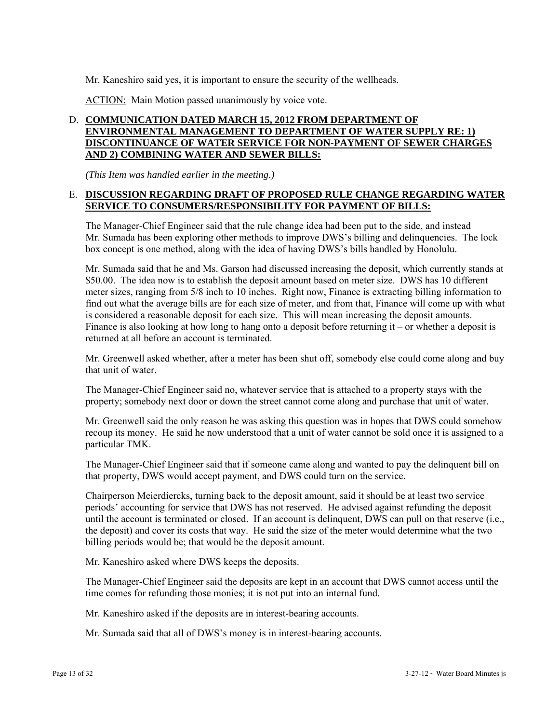Mr. Kaneshiro said yes, it is important to ensure the security of the wellheads.

ACTION: Main Motion passed unanimously by voice vote.

## D. **COMMUNICATION DATED MARCH 15, 2012 FROM DEPARTMENT OF ENVIRONMENTAL MANAGEMENT TO DEPARTMENT OF WATER SUPPLY RE: 1) DISCONTINUANCE OF WATER SERVICE FOR NON-PAYMENT OF SEWER CHARGES AND 2) COMBINING WATER AND SEWER BILLS:**

*(This Item was handled earlier in the meeting.)*

## E. **DISCUSSION REGARDING DRAFT OF PROPOSED RULE CHANGE REGARDING WATER SERVICE TO CONSUMERS/RESPONSIBILITY FOR PAYMENT OF BILLS:**

The Manager-Chief Engineer said that the rule change idea had been put to the side, and instead Mr. Sumada has been exploring other methods to improve DWS's billing and delinquencies. The lock box concept is one method, along with the idea of having DWS's bills handled by Honolulu.

Mr. Sumada said that he and Ms. Garson had discussed increasing the deposit, which currently stands at \$50.00. The idea now is to establish the deposit amount based on meter size. DWS has 10 different meter sizes, ranging from 5/8 inch to 10 inches. Right now, Finance is extracting billing information to find out what the average bills are for each size of meter, and from that, Finance will come up with what is considered a reasonable deposit for each size. This will mean increasing the deposit amounts. Finance is also looking at how long to hang onto a deposit before returning it – or whether a deposit is returned at all before an account is terminated.

Mr. Greenwell asked whether, after a meter has been shut off, somebody else could come along and buy that unit of water.

The Manager-Chief Engineer said no, whatever service that is attached to a property stays with the property; somebody next door or down the street cannot come along and purchase that unit of water.

Mr. Greenwell said the only reason he was asking this question was in hopes that DWS could somehow recoup its money. He said he now understood that a unit of water cannot be sold once it is assigned to a particular TMK.

The Manager-Chief Engineer said that if someone came along and wanted to pay the delinquent bill on that property, DWS would accept payment, and DWS could turn on the service.

Chairperson Meierdiercks, turning back to the deposit amount, said it should be at least two service periods' accounting for service that DWS has not reserved. He advised against refunding the deposit until the account is terminated or closed. If an account is delinquent, DWS can pull on that reserve (i.e., the deposit) and cover its costs that way. He said the size of the meter would determine what the two billing periods would be; that would be the deposit amount.

Mr. Kaneshiro asked where DWS keeps the deposits.

The Manager-Chief Engineer said the deposits are kept in an account that DWS cannot access until the time comes for refunding those monies; it is not put into an internal fund.

Mr. Kaneshiro asked if the deposits are in interest-bearing accounts.

Mr. Sumada said that all of DWS's money is in interest-bearing accounts.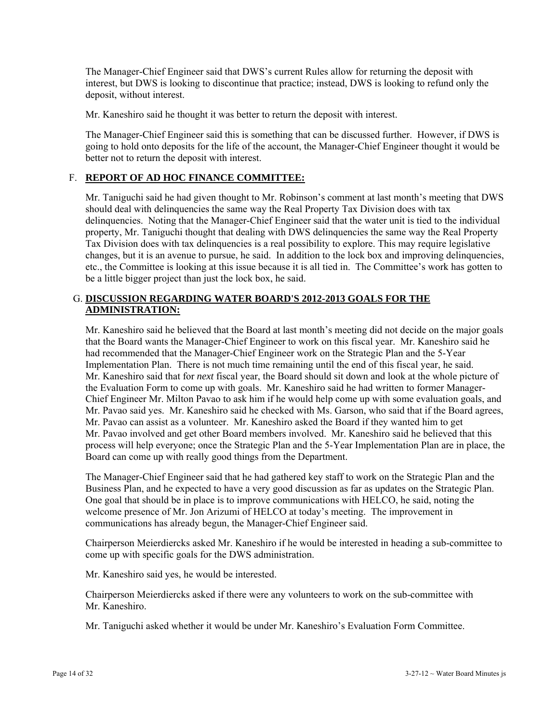The Manager-Chief Engineer said that DWS's current Rules allow for returning the deposit with interest, but DWS is looking to discontinue that practice; instead, DWS is looking to refund only the deposit, without interest.

Mr. Kaneshiro said he thought it was better to return the deposit with interest.

The Manager-Chief Engineer said this is something that can be discussed further. However, if DWS is going to hold onto deposits for the life of the account, the Manager-Chief Engineer thought it would be better not to return the deposit with interest.

## F. **REPORT OF AD HOC FINANCE COMMITTEE:**

Mr. Taniguchi said he had given thought to Mr. Robinson's comment at last month's meeting that DWS should deal with delinquencies the same way the Real Property Tax Division does with tax delinquencies. Noting that the Manager-Chief Engineer said that the water unit is tied to the individual property, Mr. Taniguchi thought that dealing with DWS delinquencies the same way the Real Property Tax Division does with tax delinquencies is a real possibility to explore. This may require legislative changes, but it is an avenue to pursue, he said. In addition to the lock box and improving delinquencies, etc., the Committee is looking at this issue because it is all tied in. The Committee's work has gotten to be a little bigger project than just the lock box, he said.

## G. **DISCUSSION REGARDING WATER BOARD'S 2012-2013 GOALS FOR THE ADMINISTRATION:**

Mr. Kaneshiro said he believed that the Board at last month's meeting did not decide on the major goals that the Board wants the Manager-Chief Engineer to work on this fiscal year. Mr. Kaneshiro said he had recommended that the Manager-Chief Engineer work on the Strategic Plan and the 5-Year Implementation Plan. There is not much time remaining until the end of this fiscal year, he said. Mr. Kaneshiro said that for *next* fiscal year, the Board should sit down and look at the whole picture of the Evaluation Form to come up with goals. Mr. Kaneshiro said he had written to former Manager-Chief Engineer Mr. Milton Pavao to ask him if he would help come up with some evaluation goals, and Mr. Pavao said yes. Mr. Kaneshiro said he checked with Ms. Garson, who said that if the Board agrees, Mr. Pavao can assist as a volunteer. Mr. Kaneshiro asked the Board if they wanted him to get Mr. Pavao involved and get other Board members involved. Mr. Kaneshiro said he believed that this process will help everyone; once the Strategic Plan and the 5-Year Implementation Plan are in place, the Board can come up with really good things from the Department.

The Manager-Chief Engineer said that he had gathered key staff to work on the Strategic Plan and the Business Plan, and he expected to have a very good discussion as far as updates on the Strategic Plan. One goal that should be in place is to improve communications with HELCO, he said, noting the welcome presence of Mr. Jon Arizumi of HELCO at today's meeting. The improvement in communications has already begun, the Manager-Chief Engineer said.

Chairperson Meierdiercks asked Mr. Kaneshiro if he would be interested in heading a sub-committee to come up with specific goals for the DWS administration.

Mr. Kaneshiro said yes, he would be interested.

Chairperson Meierdiercks asked if there were any volunteers to work on the sub-committee with Mr. Kaneshiro.

Mr. Taniguchi asked whether it would be under Mr. Kaneshiro's Evaluation Form Committee.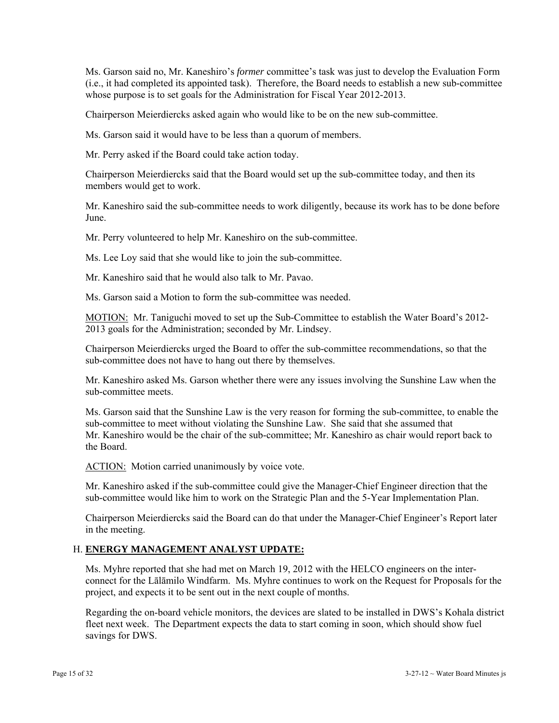Ms. Garson said no, Mr. Kaneshiro's *former* committee's task was just to develop the Evaluation Form (i.e., it had completed its appointed task). Therefore, the Board needs to establish a new sub-committee whose purpose is to set goals for the Administration for Fiscal Year 2012-2013.

Chairperson Meierdiercks asked again who would like to be on the new sub-committee.

Ms. Garson said it would have to be less than a quorum of members.

Mr. Perry asked if the Board could take action today.

Chairperson Meierdiercks said that the Board would set up the sub-committee today, and then its members would get to work.

Mr. Kaneshiro said the sub-committee needs to work diligently, because its work has to be done before June.

Mr. Perry volunteered to help Mr. Kaneshiro on the sub-committee.

Ms. Lee Loy said that she would like to join the sub-committee.

Mr. Kaneshiro said that he would also talk to Mr. Pavao.

Ms. Garson said a Motion to form the sub-committee was needed.

MOTION: Mr. Taniguchi moved to set up the Sub-Committee to establish the Water Board's 2012- 2013 goals for the Administration; seconded by Mr. Lindsey.

Chairperson Meierdiercks urged the Board to offer the sub-committee recommendations, so that the sub-committee does not have to hang out there by themselves.

Mr. Kaneshiro asked Ms. Garson whether there were any issues involving the Sunshine Law when the sub-committee meets.

Ms. Garson said that the Sunshine Law is the very reason for forming the sub-committee, to enable the sub-committee to meet without violating the Sunshine Law. She said that she assumed that Mr. Kaneshiro would be the chair of the sub-committee; Mr. Kaneshiro as chair would report back to the Board.

ACTION: Motion carried unanimously by voice vote.

Mr. Kaneshiro asked if the sub-committee could give the Manager-Chief Engineer direction that the sub-committee would like him to work on the Strategic Plan and the 5-Year Implementation Plan.

Chairperson Meierdiercks said the Board can do that under the Manager-Chief Engineer's Report later in the meeting.

## H. **ENERGY MANAGEMENT ANALYST UPDATE:**

Ms. Myhre reported that she had met on March 19, 2012 with the HELCO engineers on the interconnect for the Lālāmilo Windfarm. Ms. Myhre continues to work on the Request for Proposals for the project, and expects it to be sent out in the next couple of months.

Regarding the on-board vehicle monitors, the devices are slated to be installed in DWS's Kohala district fleet next week. The Department expects the data to start coming in soon, which should show fuel savings for DWS.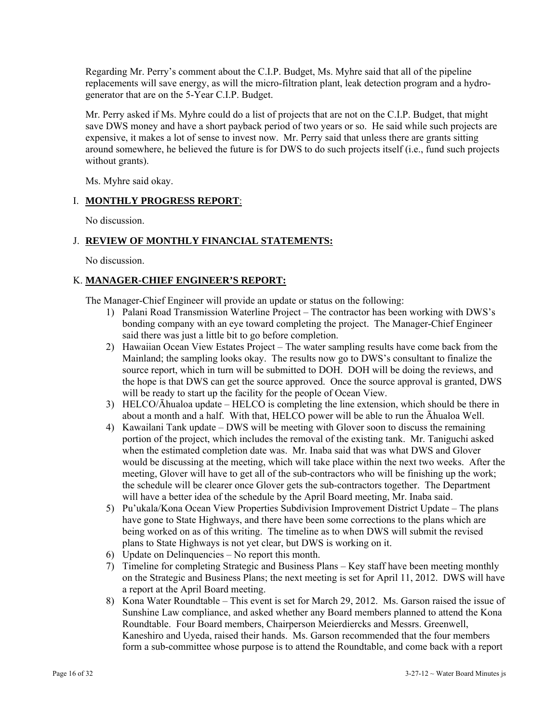Regarding Mr. Perry's comment about the C.I.P. Budget, Ms. Myhre said that all of the pipeline replacements will save energy, as will the micro-filtration plant, leak detection program and a hydrogenerator that are on the 5-Year C.I.P. Budget.

Mr. Perry asked if Ms. Myhre could do a list of projects that are not on the C.I.P. Budget, that might save DWS money and have a short payback period of two years or so. He said while such projects are expensive, it makes a lot of sense to invest now. Mr. Perry said that unless there are grants sitting around somewhere, he believed the future is for DWS to do such projects itself (i.e., fund such projects without grants).

Ms. Myhre said okay.

## I. **MONTHLY PROGRESS REPORT**:

No discussion.

## J. **REVIEW OF MONTHLY FINANCIAL STATEMENTS:**

No discussion.

## K. **MANAGER-CHIEF ENGINEER'S REPORT:**

The Manager-Chief Engineer will provide an update or status on the following:

- 1) Palani Road Transmission Waterline Project The contractor has been working with DWS's bonding company with an eye toward completing the project. The Manager-Chief Engineer said there was just a little bit to go before completion.
- 2) Hawaiian Ocean View Estates Project The water sampling results have come back from the Mainland; the sampling looks okay. The results now go to DWS's consultant to finalize the source report, which in turn will be submitted to DOH. DOH will be doing the reviews, and the hope is that DWS can get the source approved. Once the source approval is granted, DWS will be ready to start up the facility for the people of Ocean View.
- 3) HELCO/Āhualoa update HELCO is completing the line extension, which should be there in about a month and a half. With that, HELCO power will be able to run the Āhualoa Well.
- 4) Kawailani Tank update DWS will be meeting with Glover soon to discuss the remaining portion of the project, which includes the removal of the existing tank. Mr. Taniguchi asked when the estimated completion date was. Mr. Inaba said that was what DWS and Glover would be discussing at the meeting, which will take place within the next two weeks. After the meeting, Glover will have to get all of the sub-contractors who will be finishing up the work; the schedule will be clearer once Glover gets the sub-contractors together. The Department will have a better idea of the schedule by the April Board meeting, Mr. Inaba said.
- 5) Pu'ukala/Kona Ocean View Properties Subdivision Improvement District Update The plans have gone to State Highways, and there have been some corrections to the plans which are being worked on as of this writing. The timeline as to when DWS will submit the revised plans to State Highways is not yet clear, but DWS is working on it.
- 6) Update on Delinquencies No report this month.
- 7) Timeline for completing Strategic and Business Plans Key staff have been meeting monthly on the Strategic and Business Plans; the next meeting is set for April 11, 2012. DWS will have a report at the April Board meeting.
- 8) Kona Water Roundtable This event is set for March 29, 2012. Ms. Garson raised the issue of Sunshine Law compliance, and asked whether any Board members planned to attend the Kona Roundtable. Four Board members, Chairperson Meierdiercks and Messrs. Greenwell, Kaneshiro and Uyeda, raised their hands. Ms. Garson recommended that the four members form a sub-committee whose purpose is to attend the Roundtable, and come back with a report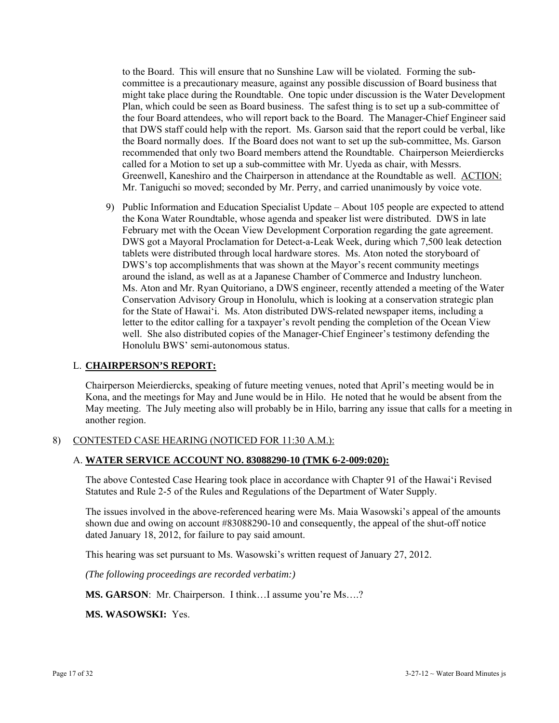to the Board. This will ensure that no Sunshine Law will be violated. Forming the subcommittee is a precautionary measure, against any possible discussion of Board business that might take place during the Roundtable. One topic under discussion is the Water Development Plan, which could be seen as Board business. The safest thing is to set up a sub-committee of the four Board attendees, who will report back to the Board. The Manager-Chief Engineer said that DWS staff could help with the report. Ms. Garson said that the report could be verbal, like the Board normally does. If the Board does not want to set up the sub-committee, Ms. Garson recommended that only two Board members attend the Roundtable. Chairperson Meierdiercks called for a Motion to set up a sub-committee with Mr. Uyeda as chair, with Messrs. Greenwell, Kaneshiro and the Chairperson in attendance at the Roundtable as well. ACTION: Mr. Taniguchi so moved; seconded by Mr. Perry, and carried unanimously by voice vote.

9) Public Information and Education Specialist Update – About 105 people are expected to attend the Kona Water Roundtable, whose agenda and speaker list were distributed. DWS in late February met with the Ocean View Development Corporation regarding the gate agreement. DWS got a Mayoral Proclamation for Detect-a-Leak Week, during which 7,500 leak detection tablets were distributed through local hardware stores. Ms. Aton noted the storyboard of DWS's top accomplishments that was shown at the Mayor's recent community meetings around the island, as well as at a Japanese Chamber of Commerce and Industry luncheon. Ms. Aton and Mr. Ryan Quitoriano, a DWS engineer, recently attended a meeting of the Water Conservation Advisory Group in Honolulu, which is looking at a conservation strategic plan for the State of Hawai'i. Ms. Aton distributed DWS-related newspaper items, including a letter to the editor calling for a taxpayer's revolt pending the completion of the Ocean View well. She also distributed copies of the Manager-Chief Engineer's testimony defending the Honolulu BWS' semi-autonomous status.

### L. **CHAIRPERSON'S REPORT:**

Chairperson Meierdiercks, speaking of future meeting venues, noted that April's meeting would be in Kona, and the meetings for May and June would be in Hilo. He noted that he would be absent from the May meeting. The July meeting also will probably be in Hilo, barring any issue that calls for a meeting in another region.

## 8) CONTESTED CASE HEARING (NOTICED FOR 11:30 A.M.):

## A. **WATER SERVICE ACCOUNT NO. 83088290-10 (TMK 6-2-009:020):**

The above Contested Case Hearing took place in accordance with Chapter 91 of the Hawai'i Revised Statutes and Rule 2-5 of the Rules and Regulations of the Department of Water Supply.

The issues involved in the above-referenced hearing were Ms. Maia Wasowski's appeal of the amounts shown due and owing on account #83088290-10 and consequently, the appeal of the shut-off notice dated January 18, 2012, for failure to pay said amount.

This hearing was set pursuant to Ms. Wasowski's written request of January 27, 2012.

*(The following proceedings are recorded verbatim:)* 

**MS. GARSON:** Mr. Chairperson. I think...I assume you're Ms....?

**MS. WASOWSKI:** Yes.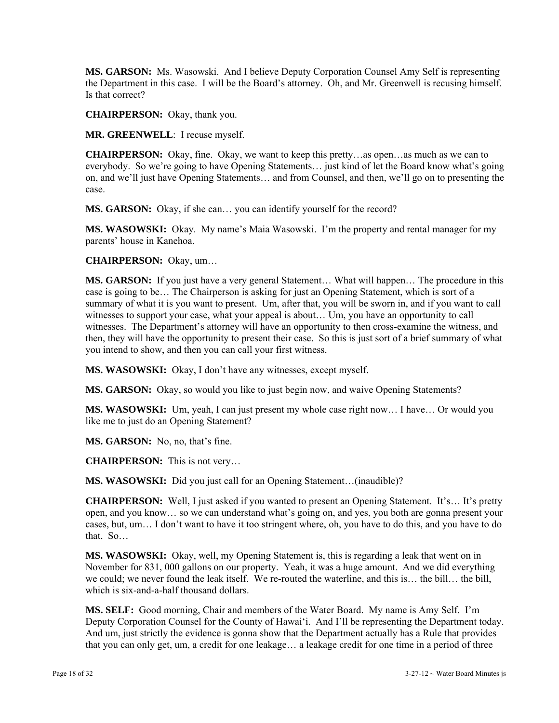**MS. GARSON:** Ms. Wasowski. And I believe Deputy Corporation Counsel Amy Self is representing the Department in this case. I will be the Board's attorney. Oh, and Mr. Greenwell is recusing himself. Is that correct?

**CHAIRPERSON:** Okay, thank you.

**MR. GREENWELL**: I recuse myself.

**CHAIRPERSON:** Okay, fine. Okay, we want to keep this pretty…as open…as much as we can to everybody. So we're going to have Opening Statements… just kind of let the Board know what's going on, and we'll just have Opening Statements… and from Counsel, and then, we'll go on to presenting the case.

**MS. GARSON:** Okay, if she can… you can identify yourself for the record?

**MS. WASOWSKI:** Okay. My name's Maia Wasowski. I'm the property and rental manager for my parents' house in Kanehoa.

**CHAIRPERSON:** Okay, um…

**MS. GARSON:** If you just have a very general Statement… What will happen… The procedure in this case is going to be… The Chairperson is asking for just an Opening Statement, which is sort of a summary of what it is you want to present. Um, after that, you will be sworn in, and if you want to call witnesses to support your case, what your appeal is about… Um, you have an opportunity to call witnesses. The Department's attorney will have an opportunity to then cross-examine the witness, and then, they will have the opportunity to present their case. So this is just sort of a brief summary of what you intend to show, and then you can call your first witness.

**MS. WASOWSKI:** Okay, I don't have any witnesses, except myself.

**MS. GARSON:** Okay, so would you like to just begin now, and waive Opening Statements?

**MS. WASOWSKI:** Um, yeah, I can just present my whole case right now… I have… Or would you like me to just do an Opening Statement?

**MS. GARSON:** No, no, that's fine.

**CHAIRPERSON:** This is not very…

**MS. WASOWSKI:** Did you just call for an Opening Statement…(inaudible)?

**CHAIRPERSON:** Well, I just asked if you wanted to present an Opening Statement. It's... It's pretty open, and you know… so we can understand what's going on, and yes, you both are gonna present your cases, but, um… I don't want to have it too stringent where, oh, you have to do this, and you have to do that. So…

**MS. WASOWSKI:** Okay, well, my Opening Statement is, this is regarding a leak that went on in November for 831, 000 gallons on our property. Yeah, it was a huge amount. And we did everything we could; we never found the leak itself. We re-routed the waterline, and this is… the bill… the bill, which is six-and-a-half thousand dollars.

**MS. SELF:** Good morning, Chair and members of the Water Board. My name is Amy Self. I'm Deputy Corporation Counsel for the County of Hawai'i. And I'll be representing the Department today. And um, just strictly the evidence is gonna show that the Department actually has a Rule that provides that you can only get, um, a credit for one leakage… a leakage credit for one time in a period of three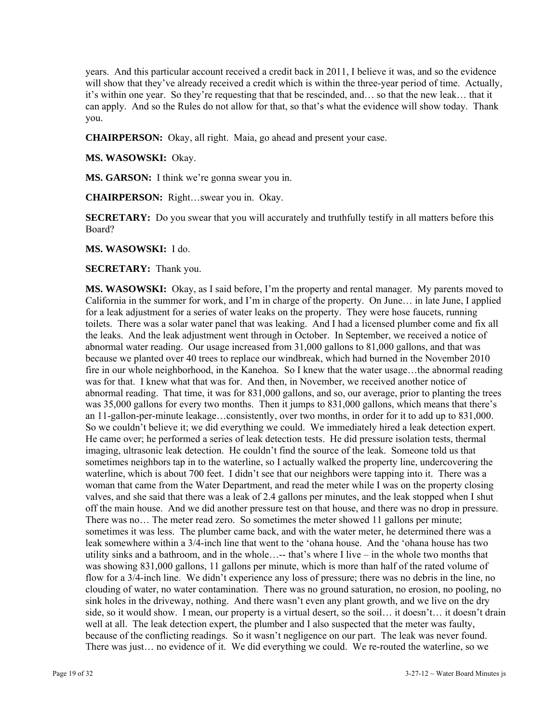years. And this particular account received a credit back in 2011, I believe it was, and so the evidence will show that they've already received a credit which is within the three-year period of time. Actually, it's within one year. So they're requesting that that be rescinded, and… so that the new leak… that it can apply. And so the Rules do not allow for that, so that's what the evidence will show today. Thank you.

**CHAIRPERSON:** Okay, all right. Maia, go ahead and present your case.

**MS. WASOWSKI:** Okay.

**MS. GARSON:** I think we're gonna swear you in.

**CHAIRPERSON:** Right…swear you in. Okay.

**SECRETARY:** Do you swear that you will accurately and truthfully testify in all matters before this Board?

**MS. WASOWSKI:** I do.

**SECRETARY:** Thank you.

**MS. WASOWSKI:** Okay, as I said before, I'm the property and rental manager. My parents moved to California in the summer for work, and I'm in charge of the property. On June… in late June, I applied for a leak adjustment for a series of water leaks on the property. They were hose faucets, running toilets. There was a solar water panel that was leaking. And I had a licensed plumber come and fix all the leaks. And the leak adjustment went through in October. In September, we received a notice of abnormal water reading. Our usage increased from 31,000 gallons to 81,000 gallons, and that was because we planted over 40 trees to replace our windbreak, which had burned in the November 2010 fire in our whole neighborhood, in the Kanehoa. So I knew that the water usage…the abnormal reading was for that. I knew what that was for. And then, in November, we received another notice of abnormal reading. That time, it was for 831,000 gallons, and so, our average, prior to planting the trees was 35,000 gallons for every two months. Then it jumps to 831,000 gallons, which means that there's an 11-gallon-per-minute leakage…consistently, over two months, in order for it to add up to 831,000. So we couldn't believe it; we did everything we could. We immediately hired a leak detection expert. He came over; he performed a series of leak detection tests. He did pressure isolation tests, thermal imaging, ultrasonic leak detection. He couldn't find the source of the leak. Someone told us that sometimes neighbors tap in to the waterline, so I actually walked the property line, undercovering the waterline, which is about 700 feet. I didn't see that our neighbors were tapping into it. There was a woman that came from the Water Department, and read the meter while I was on the property closing valves, and she said that there was a leak of 2.4 gallons per minutes, and the leak stopped when I shut off the main house. And we did another pressure test on that house, and there was no drop in pressure. There was no… The meter read zero. So sometimes the meter showed 11 gallons per minute; sometimes it was less. The plumber came back, and with the water meter, he determined there was a leak somewhere within a 3/4-inch line that went to the 'ohana house. And the 'ohana house has two utility sinks and a bathroom, and in the whole…-- that's where I live – in the whole two months that was showing 831,000 gallons, 11 gallons per minute, which is more than half of the rated volume of flow for a 3/4-inch line. We didn't experience any loss of pressure; there was no debris in the line, no clouding of water, no water contamination. There was no ground saturation, no erosion, no pooling, no sink holes in the driveway, nothing. And there wasn't even any plant growth, and we live on the dry side, so it would show. I mean, our property is a virtual desert, so the soil... it doesn't... it doesn't drain well at all. The leak detection expert, the plumber and I also suspected that the meter was faulty, because of the conflicting readings. So it wasn't negligence on our part. The leak was never found. There was just… no evidence of it. We did everything we could. We re-routed the waterline, so we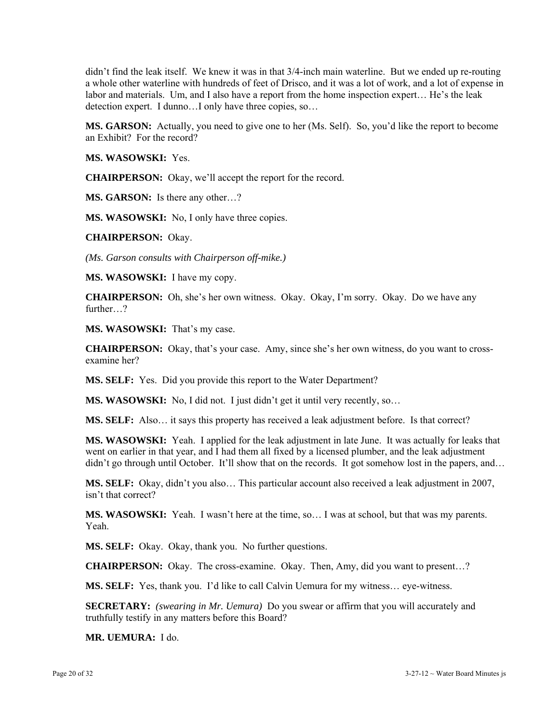didn't find the leak itself. We knew it was in that 3/4-inch main waterline. But we ended up re-routing a whole other waterline with hundreds of feet of Drisco, and it was a lot of work, and a lot of expense in labor and materials. Um, and I also have a report from the home inspection expert… He's the leak detection expert. I dunno…I only have three copies, so…

**MS. GARSON:** Actually, you need to give one to her (Ms. Self). So, you'd like the report to become an Exhibit? For the record?

**MS. WASOWSKI:** Yes.

**CHAIRPERSON:** Okay, we'll accept the report for the record.

**MS. GARSON:** Is there any other…?

**MS. WASOWSKI:** No, I only have three copies.

**CHAIRPERSON:** Okay.

*(Ms. Garson consults with Chairperson off-mike.)* 

**MS. WASOWSKI:** I have my copy.

**CHAIRPERSON:** Oh, she's her own witness. Okay. Okay, I'm sorry. Okay. Do we have any further<sub>2</sub>

**MS. WASOWSKI:** That's my case.

**CHAIRPERSON:** Okay, that's your case. Amy, since she's her own witness, do you want to crossexamine her?

**MS. SELF:** Yes. Did you provide this report to the Water Department?

**MS. WASOWSKI:** No, I did not. I just didn't get it until very recently, so...

**MS. SELF:** Also… it says this property has received a leak adjustment before. Is that correct?

**MS. WASOWSKI:** Yeah. I applied for the leak adjustment in late June. It was actually for leaks that went on earlier in that year, and I had them all fixed by a licensed plumber, and the leak adjustment didn't go through until October. It'll show that on the records. It got somehow lost in the papers, and...

**MS. SELF:** Okay, didn't you also… This particular account also received a leak adjustment in 2007, isn't that correct?

**MS. WASOWSKI:** Yeah. I wasn't here at the time, so… I was at school, but that was my parents. Yeah.

**MS. SELF:** Okay. Okay, thank you. No further questions.

**CHAIRPERSON:** Okay. The cross-examine. Okay. Then, Amy, did you want to present…?

**MS. SELF:** Yes, thank you. I'd like to call Calvin Uemura for my witness... eye-witness.

**SECRETARY:** *(swearing in Mr. Uemura)* Do you swear or affirm that you will accurately and truthfully testify in any matters before this Board?

**MR. UEMURA:** I do.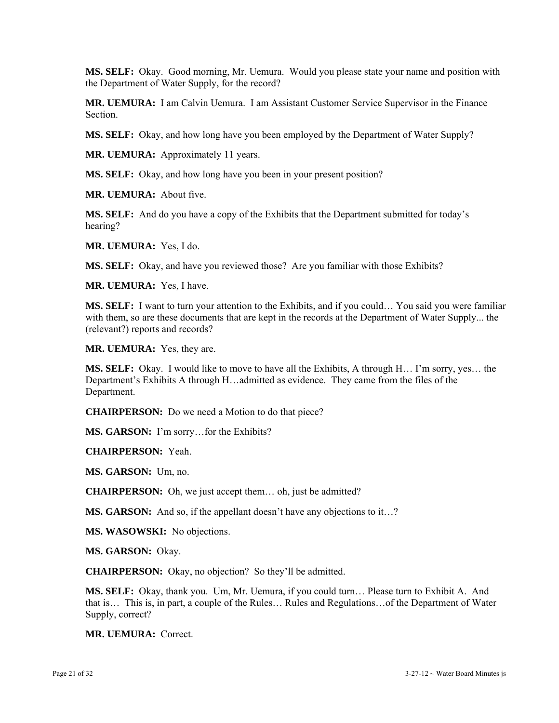**MS. SELF:** Okay. Good morning, Mr. Uemura. Would you please state your name and position with the Department of Water Supply, for the record?

**MR. UEMURA:** I am Calvin Uemura. I am Assistant Customer Service Supervisor in the Finance **Section** 

**MS. SELF:** Okay, and how long have you been employed by the Department of Water Supply?

**MR. UEMURA:** Approximately 11 years.

**MS. SELF:** Okay, and how long have you been in your present position?

**MR. UEMURA:** About five.

**MS. SELF:** And do you have a copy of the Exhibits that the Department submitted for today's hearing?

**MR. UEMURA:** Yes, I do.

**MS. SELF:** Okay, and have you reviewed those? Are you familiar with those Exhibits?

**MR. UEMURA:** Yes, I have.

**MS. SELF:** I want to turn your attention to the Exhibits, and if you could… You said you were familiar with them, so are these documents that are kept in the records at the Department of Water Supply... the (relevant?) reports and records?

**MR. UEMURA:** Yes, they are.

**MS. SELF:** Okay. I would like to move to have all the Exhibits, A through H… I'm sorry, yes… the Department's Exhibits A through H…admitted as evidence. They came from the files of the Department.

**CHAIRPERSON:** Do we need a Motion to do that piece?

**MS. GARSON:** I'm sorry…for the Exhibits?

**CHAIRPERSON:** Yeah.

**MS. GARSON:** Um, no.

**CHAIRPERSON:** Oh, we just accept them… oh, just be admitted?

**MS. GARSON:** And so, if the appellant doesn't have any objections to it...?

**MS. WASOWSKI:** No objections.

**MS. GARSON:** Okay.

**CHAIRPERSON:** Okay, no objection? So they'll be admitted.

**MS. SELF:** Okay, thank you. Um, Mr. Uemura, if you could turn… Please turn to Exhibit A. And that is… This is, in part, a couple of the Rules… Rules and Regulations…of the Department of Water Supply, correct?

**MR. UEMURA:** Correct.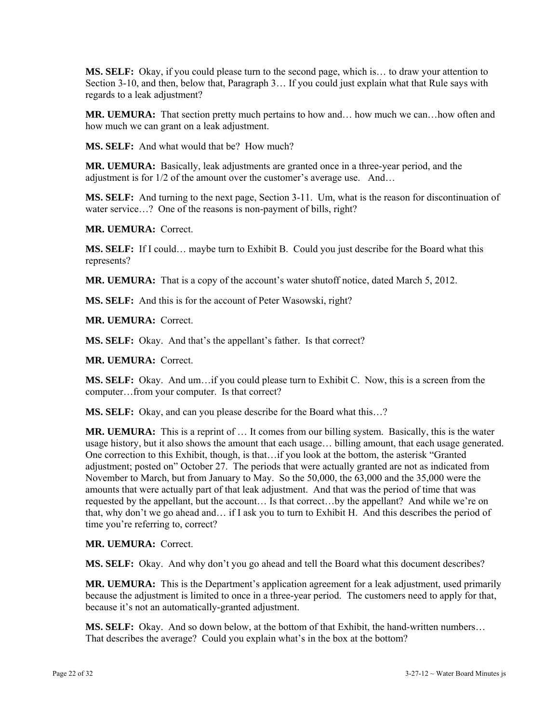**MS. SELF:** Okay, if you could please turn to the second page, which is… to draw your attention to Section 3-10, and then, below that, Paragraph 3… If you could just explain what that Rule says with regards to a leak adjustment?

**MR. UEMURA:** That section pretty much pertains to how and… how much we can…how often and how much we can grant on a leak adjustment.

**MS. SELF:** And what would that be? How much?

**MR. UEMURA:** Basically, leak adjustments are granted once in a three-year period, and the adjustment is for 1/2 of the amount over the customer's average use. And…

**MS. SELF:** And turning to the next page, Section 3-11. Um, what is the reason for discontinuation of water service...? One of the reasons is non-payment of bills, right?

**MR. UEMURA:** Correct.

**MS. SELF:** If I could… maybe turn to Exhibit B. Could you just describe for the Board what this represents?

**MR. UEMURA:** That is a copy of the account's water shutoff notice, dated March 5, 2012.

**MS. SELF:** And this is for the account of Peter Wasowski, right?

**MR. UEMURA:** Correct.

**MS. SELF:** Okay. And that's the appellant's father. Is that correct?

**MR. UEMURA:** Correct.

**MS. SELF:** Okay. And um…if you could please turn to Exhibit C. Now, this is a screen from the computer…from your computer. Is that correct?

**MS. SELF:** Okay, and can you please describe for the Board what this…?

**MR. UEMURA:** This is a reprint of … It comes from our billing system. Basically, this is the water usage history, but it also shows the amount that each usage… billing amount, that each usage generated. One correction to this Exhibit, though, is that…if you look at the bottom, the asterisk "Granted adjustment; posted on" October 27. The periods that were actually granted are not as indicated from November to March, but from January to May. So the 50,000, the 63,000 and the 35,000 were the amounts that were actually part of that leak adjustment. And that was the period of time that was requested by the appellant, but the account… Is that correct…by the appellant? And while we're on that, why don't we go ahead and… if I ask you to turn to Exhibit H. And this describes the period of time you're referring to, correct?

**MR. UEMURA:** Correct.

**MS. SELF:** Okay. And why don't you go ahead and tell the Board what this document describes?

**MR. UEMURA:** This is the Department's application agreement for a leak adjustment, used primarily because the adjustment is limited to once in a three-year period. The customers need to apply for that, because it's not an automatically-granted adjustment.

**MS. SELF:** Okay. And so down below, at the bottom of that Exhibit, the hand-written numbers… That describes the average? Could you explain what's in the box at the bottom?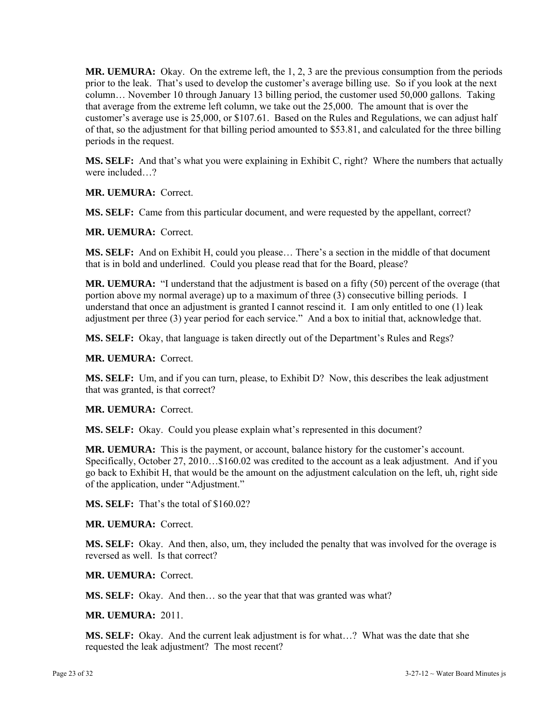**MR. UEMURA:** Okay. On the extreme left, the 1, 2, 3 are the previous consumption from the periods prior to the leak. That's used to develop the customer's average billing use. So if you look at the next column… November 10 through January 13 billing period, the customer used 50,000 gallons. Taking that average from the extreme left column, we take out the 25,000. The amount that is over the customer's average use is 25,000, or \$107.61. Based on the Rules and Regulations, we can adjust half of that, so the adjustment for that billing period amounted to \$53.81, and calculated for the three billing periods in the request.

**MS. SELF:** And that's what you were explaining in Exhibit C, right? Where the numbers that actually were included…?

**MR. UEMURA:** Correct.

**MS. SELF:** Came from this particular document, and were requested by the appellant, correct?

**MR. UEMURA:** Correct.

**MS. SELF:** And on Exhibit H, could you please… There's a section in the middle of that document that is in bold and underlined. Could you please read that for the Board, please?

**MR. UEMURA:** "I understand that the adjustment is based on a fifty (50) percent of the overage (that portion above my normal average) up to a maximum of three (3) consecutive billing periods. I understand that once an adjustment is granted I cannot rescind it. I am only entitled to one (1) leak adjustment per three (3) year period for each service." And a box to initial that, acknowledge that.

**MS. SELF:** Okay, that language is taken directly out of the Department's Rules and Regs?

**MR. UEMURA:** Correct.

**MS. SELF:** Um, and if you can turn, please, to Exhibit D? Now, this describes the leak adjustment that was granted, is that correct?

**MR. UEMURA:** Correct.

**MS. SELF:** Okay. Could you please explain what's represented in this document?

**MR. UEMURA:** This is the payment, or account, balance history for the customer's account. Specifically, October 27, 2010…\$160.02 was credited to the account as a leak adjustment. And if you go back to Exhibit H, that would be the amount on the adjustment calculation on the left, uh, right side of the application, under "Adjustment."

**MS. SELF:** That's the total of \$160.02?

**MR. UEMURA:** Correct.

**MS. SELF:** Okay. And then, also, um, they included the penalty that was involved for the overage is reversed as well. Is that correct?

**MR. UEMURA:** Correct.

**MS. SELF:** Okay. And then… so the year that that was granted was what?

**MR. UEMURA:** 2011.

**MS. SELF:** Okay. And the current leak adjustment is for what…? What was the date that she requested the leak adjustment? The most recent?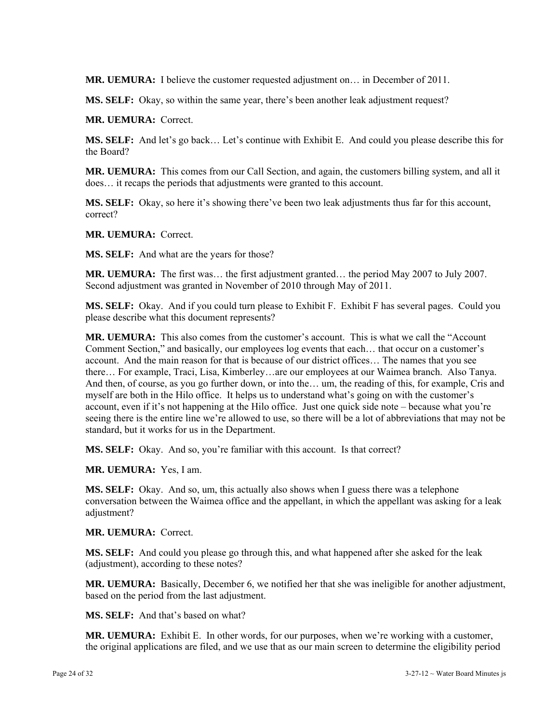**MR. UEMURA:** I believe the customer requested adjustment on… in December of 2011.

**MS. SELF:** Okay, so within the same year, there's been another leak adjustment request?

**MR. UEMURA:** Correct.

**MS. SELF:** And let's go back… Let's continue with Exhibit E. And could you please describe this for the Board?

**MR. UEMURA:** This comes from our Call Section, and again, the customers billing system, and all it does… it recaps the periods that adjustments were granted to this account.

**MS. SELF:** Okay, so here it's showing there've been two leak adjustments thus far for this account, correct?

**MR. UEMURA:** Correct.

**MS. SELF:** And what are the years for those?

**MR. UEMURA:** The first was... the first adjustment granted... the period May 2007 to July 2007. Second adjustment was granted in November of 2010 through May of 2011.

**MS. SELF:** Okay. And if you could turn please to Exhibit F. Exhibit F has several pages. Could you please describe what this document represents?

**MR. UEMURA:** This also comes from the customer's account. This is what we call the "Account Comment Section," and basically, our employees log events that each… that occur on a customer's account. And the main reason for that is because of our district offices… The names that you see there… For example, Traci, Lisa, Kimberley…are our employees at our Waimea branch. Also Tanya. And then, of course, as you go further down, or into the… um, the reading of this, for example, Cris and myself are both in the Hilo office. It helps us to understand what's going on with the customer's account, even if it's not happening at the Hilo office. Just one quick side note – because what you're seeing there is the entire line we're allowed to use, so there will be a lot of abbreviations that may not be standard, but it works for us in the Department.

**MS. SELF:** Okay. And so, you're familiar with this account. Is that correct?

**MR. UEMURA:** Yes, I am.

**MS. SELF:** Okay. And so, um, this actually also shows when I guess there was a telephone conversation between the Waimea office and the appellant, in which the appellant was asking for a leak adjustment?

**MR. UEMURA:** Correct.

**MS. SELF:** And could you please go through this, and what happened after she asked for the leak (adjustment), according to these notes?

**MR. UEMURA:** Basically, December 6, we notified her that she was ineligible for another adjustment, based on the period from the last adjustment.

**MS. SELF:** And that's based on what?

**MR. UEMURA:** Exhibit E. In other words, for our purposes, when we're working with a customer, the original applications are filed, and we use that as our main screen to determine the eligibility period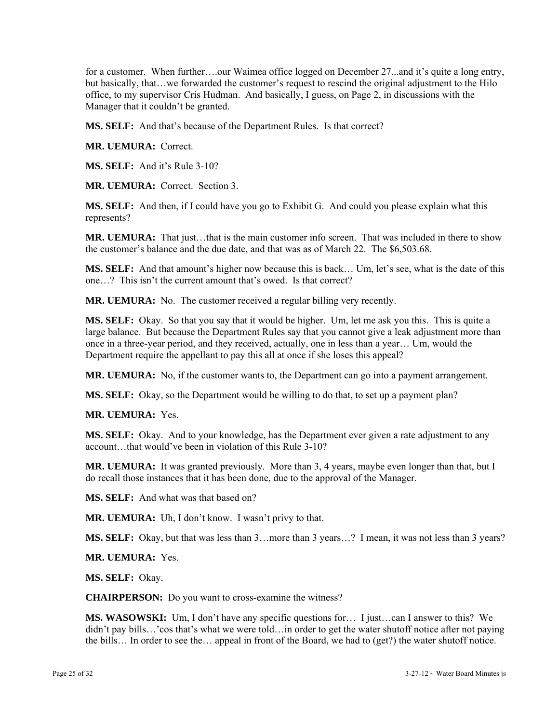for a customer. When further….our Waimea office logged on December 27...and it's quite a long entry, but basically, that…we forwarded the customer's request to rescind the original adjustment to the Hilo office, to my supervisor Cris Hudman. And basically, I guess, on Page 2, in discussions with the Manager that it couldn't be granted.

**MS. SELF:** And that's because of the Department Rules. Is that correct?

**MR. UEMURA:** Correct.

**MS. SELF:** And it's Rule 3-10?

**MR. UEMURA:** Correct. Section 3.

**MS. SELF:** And then, if I could have you go to Exhibit G. And could you please explain what this represents?

**MR. UEMURA:** That just…that is the main customer info screen. That was included in there to show the customer's balance and the due date, and that was as of March 22. The \$6,503.68.

**MS. SELF:** And that amount's higher now because this is back… Um, let's see, what is the date of this one…? This isn't the current amount that's owed. Is that correct?

**MR. UEMURA:** No. The customer received a regular billing very recently.

**MS. SELF:** Okay. So that you say that it would be higher. Um, let me ask you this. This is quite a large balance. But because the Department Rules say that you cannot give a leak adjustment more than once in a three-year period, and they received, actually, one in less than a year… Um, would the Department require the appellant to pay this all at once if she loses this appeal?

**MR. UEMURA:** No, if the customer wants to, the Department can go into a payment arrangement.

**MS. SELF:** Okay, so the Department would be willing to do that, to set up a payment plan?

**MR. UEMURA:** Yes.

**MS. SELF:** Okay. And to your knowledge, has the Department ever given a rate adjustment to any account…that would've been in violation of this Rule 3-10?

**MR. UEMURA:** It was granted previously. More than 3, 4 years, maybe even longer than that, but I do recall those instances that it has been done, due to the approval of the Manager.

**MS. SELF:** And what was that based on?

**MR. UEMURA:** Uh, I don't know. I wasn't privy to that.

**MS. SELF:** Okay, but that was less than 3…more than 3 years…? I mean, it was not less than 3 years?

**MR. UEMURA:** Yes.

**MS. SELF:** Okay.

**CHAIRPERSON:** Do you want to cross-examine the witness?

**MS. WASOWSKI:** Um, I don't have any specific questions for… I just…can I answer to this? We didn't pay bills…'cos that's what we were told…in order to get the water shutoff notice after not paying the bills… In order to see the… appeal in front of the Board, we had to (get?) the water shutoff notice.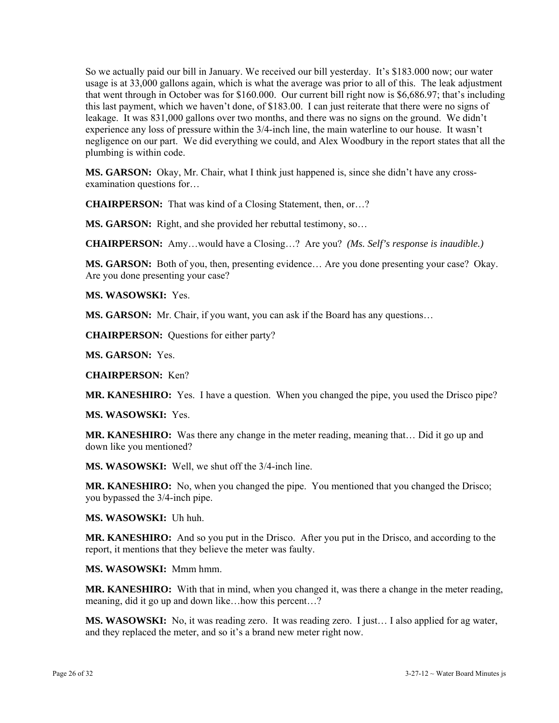So we actually paid our bill in January. We received our bill yesterday. It's \$183.000 now; our water usage is at 33,000 gallons again, which is what the average was prior to all of this. The leak adjustment that went through in October was for \$160.000. Our current bill right now is \$6,686.97; that's including this last payment, which we haven't done, of \$183.00. I can just reiterate that there were no signs of leakage. It was 831,000 gallons over two months, and there was no signs on the ground. We didn't experience any loss of pressure within the 3/4-inch line, the main waterline to our house. It wasn't negligence on our part. We did everything we could, and Alex Woodbury in the report states that all the plumbing is within code.

**MS. GARSON:** Okay, Mr. Chair, what I think just happened is, since she didn't have any crossexamination questions for…

**CHAIRPERSON:** That was kind of a Closing Statement, then, or…?

**MS. GARSON:** Right, and she provided her rebuttal testimony, so...

**CHAIRPERSON:** Amy…would have a Closing…? Are you? *(Ms. Self's response is inaudible.)* 

**MS. GARSON:** Both of you, then, presenting evidence… Are you done presenting your case? Okay. Are you done presenting your case?

**MS. WASOWSKI:** Yes.

**MS. GARSON:** Mr. Chair, if you want, you can ask if the Board has any questions...

**CHAIRPERSON:** Questions for either party?

**MS. GARSON:** Yes.

**CHAIRPERSON:** Ken?

**MR. KANESHIRO:** Yes. I have a question. When you changed the pipe, you used the Drisco pipe?

**MS. WASOWSKI:** Yes.

**MR. KANESHIRO:** Was there any change in the meter reading, meaning that… Did it go up and down like you mentioned?

**MS. WASOWSKI:** Well, we shut off the 3/4-inch line.

**MR. KANESHIRO:** No, when you changed the pipe. You mentioned that you changed the Drisco; you bypassed the 3/4-inch pipe.

**MS. WASOWSKI:** Uh huh.

**MR. KANESHIRO:** And so you put in the Drisco. After you put in the Drisco, and according to the report, it mentions that they believe the meter was faulty.

**MS. WASOWSKI:** Mmm hmm.

**MR. KANESHIRO:** With that in mind, when you changed it, was there a change in the meter reading, meaning, did it go up and down like…how this percent…?

**MS. WASOWSKI:** No, it was reading zero. It was reading zero. I just... I also applied for ag water, and they replaced the meter, and so it's a brand new meter right now.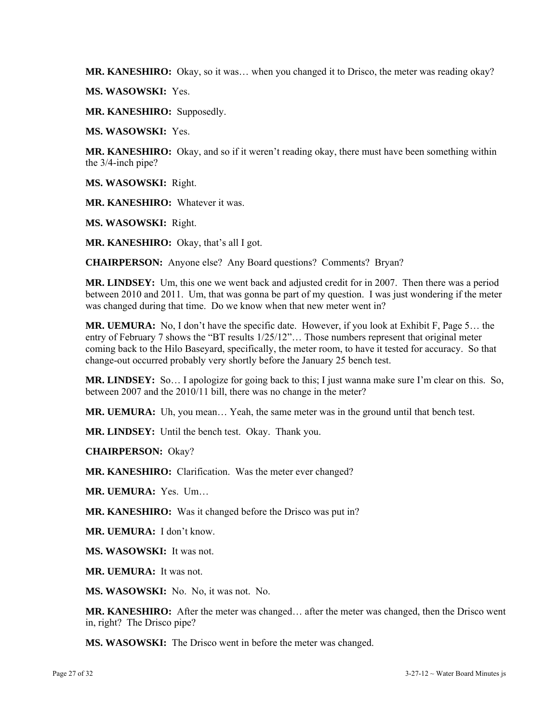**MR. KANESHIRO:** Okay, so it was… when you changed it to Drisco, the meter was reading okay?

**MS. WASOWSKI:** Yes.

**MR. KANESHIRO:** Supposedly.

**MS. WASOWSKI:** Yes.

**MR. KANESHIRO:** Okay, and so if it weren't reading okay, there must have been something within the 3/4-inch pipe?

**MS. WASOWSKI:** Right.

**MR. KANESHIRO:** Whatever it was.

**MS. WASOWSKI:** Right.

**MR. KANESHIRO:** Okay, that's all I got.

**CHAIRPERSON:** Anyone else? Any Board questions? Comments? Bryan?

**MR. LINDSEY:** Um, this one we went back and adjusted credit for in 2007. Then there was a period between 2010 and 2011. Um, that was gonna be part of my question. I was just wondering if the meter was changed during that time. Do we know when that new meter went in?

**MR. UEMURA:** No, I don't have the specific date. However, if you look at Exhibit F, Page 5… the entry of February 7 shows the "BT results 1/25/12"… Those numbers represent that original meter coming back to the Hilo Baseyard, specifically, the meter room, to have it tested for accuracy. So that change-out occurred probably very shortly before the January 25 bench test.

**MR. LINDSEY:** So… I apologize for going back to this; I just wanna make sure I'm clear on this. So, between 2007 and the 2010/11 bill, there was no change in the meter?

**MR. UEMURA:** Uh, you mean… Yeah, the same meter was in the ground until that bench test.

**MR. LINDSEY:** Until the bench test. Okay. Thank you.

**CHAIRPERSON:** Okay?

**MR. KANESHIRO:** Clarification. Was the meter ever changed?

**MR. UEMURA:** Yes. Um…

**MR. KANESHIRO:** Was it changed before the Drisco was put in?

**MR. UEMURA:** I don't know.

**MS. WASOWSKI:** It was not.

**MR. UEMURA:** It was not.

**MS. WASOWSKI:** No. No, it was not. No.

**MR. KANESHIRO:** After the meter was changed… after the meter was changed, then the Drisco went in, right? The Drisco pipe?

**MS. WASOWSKI:** The Drisco went in before the meter was changed.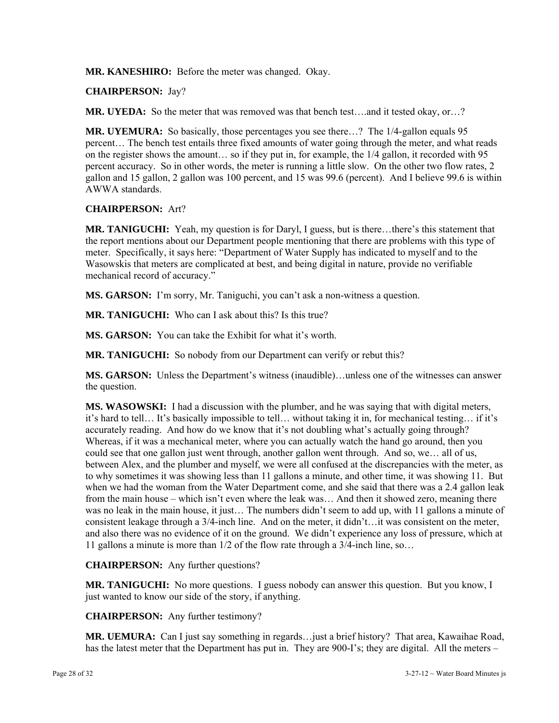**MR. KANESHIRO:** Before the meter was changed. Okay.

#### **CHAIRPERSON:** Jay?

**MR. UYEDA:** So the meter that was removed was that bench test...and it tested okay, or...?

**MR. UYEMURA:** So basically, those percentages you see there…? The 1/4-gallon equals 95 percent… The bench test entails three fixed amounts of water going through the meter, and what reads on the register shows the amount… so if they put in, for example, the 1/4 gallon, it recorded with 95 percent accuracy. So in other words, the meter is running a little slow. On the other two flow rates, 2 gallon and 15 gallon, 2 gallon was 100 percent, and 15 was 99.6 (percent). And I believe 99.6 is within AWWA standards.

### **CHAIRPERSON:** Art?

**MR. TANIGUCHI:** Yeah, my question is for Daryl, I guess, but is there…there's this statement that the report mentions about our Department people mentioning that there are problems with this type of meter. Specifically, it says here: "Department of Water Supply has indicated to myself and to the Wasowskis that meters are complicated at best, and being digital in nature, provide no verifiable mechanical record of accuracy."

**MS. GARSON:** I'm sorry, Mr. Taniguchi, you can't ask a non-witness a question.

**MR. TANIGUCHI:** Who can I ask about this? Is this true?

**MS. GARSON:** You can take the Exhibit for what it's worth.

**MR. TANIGUCHI:** So nobody from our Department can verify or rebut this?

**MS. GARSON:** Unless the Department's witness (inaudible)…unless one of the witnesses can answer the question.

**MS. WASOWSKI:** I had a discussion with the plumber, and he was saying that with digital meters, it's hard to tell… It's basically impossible to tell… without taking it in, for mechanical testing… if it's accurately reading. And how do we know that it's not doubling what's actually going through? Whereas, if it was a mechanical meter, where you can actually watch the hand go around, then you could see that one gallon just went through, another gallon went through. And so, we… all of us, between Alex, and the plumber and myself, we were all confused at the discrepancies with the meter, as to why sometimes it was showing less than 11 gallons a minute, and other time, it was showing 11. But when we had the woman from the Water Department come, and she said that there was a 2.4 gallon leak from the main house – which isn't even where the leak was… And then it showed zero, meaning there was no leak in the main house, it just… The numbers didn't seem to add up, with 11 gallons a minute of consistent leakage through a 3/4-inch line. And on the meter, it didn't…it was consistent on the meter, and also there was no evidence of it on the ground. We didn't experience any loss of pressure, which at 11 gallons a minute is more than 1/2 of the flow rate through a 3/4-inch line, so…

**CHAIRPERSON:** Any further questions?

**MR. TANIGUCHI:** No more questions. I guess nobody can answer this question. But you know, I just wanted to know our side of the story, if anything.

**CHAIRPERSON:** Any further testimony?

**MR. UEMURA:** Can I just say something in regards…just a brief history? That area, Kawaihae Road, has the latest meter that the Department has put in. They are 900-I's; they are digital. All the meters –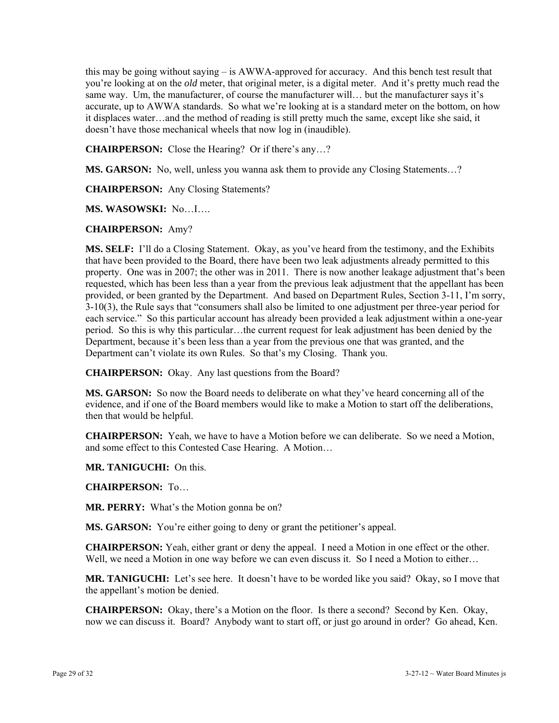this may be going without saying – is AWWA-approved for accuracy. And this bench test result that you're looking at on the *old* meter, that original meter, is a digital meter. And it's pretty much read the same way. Um, the manufacturer, of course the manufacturer will… but the manufacturer says it's accurate, up to AWWA standards. So what we're looking at is a standard meter on the bottom, on how it displaces water…and the method of reading is still pretty much the same, except like she said, it doesn't have those mechanical wheels that now log in (inaudible).

**CHAIRPERSON:** Close the Hearing? Or if there's any…?

**MS. GARSON:** No, well, unless you wanna ask them to provide any Closing Statements...?

**CHAIRPERSON:** Any Closing Statements?

**MS. WASOWSKI:** No…I….

### **CHAIRPERSON:** Amy?

**MS. SELF:** I'll do a Closing Statement. Okay, as you've heard from the testimony, and the Exhibits that have been provided to the Board, there have been two leak adjustments already permitted to this property. One was in 2007; the other was in 2011. There is now another leakage adjustment that's been requested, which has been less than a year from the previous leak adjustment that the appellant has been provided, or been granted by the Department. And based on Department Rules, Section 3-11, I'm sorry, 3-10(3), the Rule says that "consumers shall also be limited to one adjustment per three-year period for each service." So this particular account has already been provided a leak adjustment within a one-year period. So this is why this particular…the current request for leak adjustment has been denied by the Department, because it's been less than a year from the previous one that was granted, and the Department can't violate its own Rules. So that's my Closing. Thank you.

**CHAIRPERSON:** Okay. Any last questions from the Board?

**MS. GARSON:** So now the Board needs to deliberate on what they've heard concerning all of the evidence, and if one of the Board members would like to make a Motion to start off the deliberations, then that would be helpful.

**CHAIRPERSON:** Yeah, we have to have a Motion before we can deliberate. So we need a Motion, and some effect to this Contested Case Hearing. A Motion…

**MR. TANIGUCHI:** On this.

**CHAIRPERSON:** To…

**MR. PERRY:** What's the Motion gonna be on?

**MS. GARSON:** You're either going to deny or grant the petitioner's appeal.

**CHAIRPERSON:** Yeah, either grant or deny the appeal. I need a Motion in one effect or the other. Well, we need a Motion in one way before we can even discuss it. So I need a Motion to either...

**MR. TANIGUCHI:** Let's see here. It doesn't have to be worded like you said? Okay, so I move that the appellant's motion be denied.

**CHAIRPERSON:** Okay, there's a Motion on the floor. Is there a second? Second by Ken. Okay, now we can discuss it. Board? Anybody want to start off, or just go around in order? Go ahead, Ken.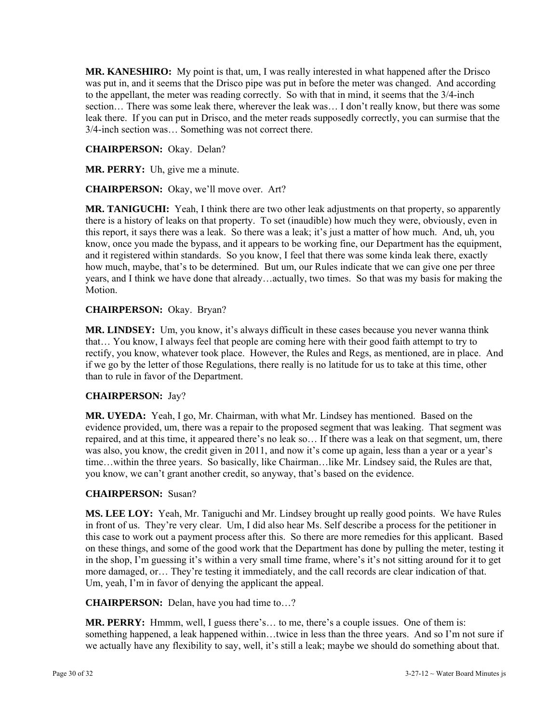**MR. KANESHIRO:** My point is that, um, I was really interested in what happened after the Drisco was put in, and it seems that the Drisco pipe was put in before the meter was changed. And according to the appellant, the meter was reading correctly. So with that in mind, it seems that the 3/4-inch section... There was some leak there, wherever the leak was... I don't really know, but there was some leak there. If you can put in Drisco, and the meter reads supposedly correctly, you can surmise that the 3/4-inch section was… Something was not correct there.

### **CHAIRPERSON:** Okay. Delan?

**MR. PERRY:** Uh, give me a minute.

**CHAIRPERSON:** Okay, we'll move over. Art?

**MR. TANIGUCHI:** Yeah, I think there are two other leak adjustments on that property, so apparently there is a history of leaks on that property. To set (inaudible) how much they were, obviously, even in this report, it says there was a leak. So there was a leak; it's just a matter of how much. And, uh, you know, once you made the bypass, and it appears to be working fine, our Department has the equipment, and it registered within standards. So you know, I feel that there was some kinda leak there, exactly how much, maybe, that's to be determined. But um, our Rules indicate that we can give one per three years, and I think we have done that already…actually, two times. So that was my basis for making the Motion.

### **CHAIRPERSON:** Okay. Bryan?

**MR. LINDSEY:** Um, you know, it's always difficult in these cases because you never wanna think that… You know, I always feel that people are coming here with their good faith attempt to try to rectify, you know, whatever took place. However, the Rules and Regs, as mentioned, are in place. And if we go by the letter of those Regulations, there really is no latitude for us to take at this time, other than to rule in favor of the Department.

#### **CHAIRPERSON:** Jay?

**MR. UYEDA:** Yeah, I go, Mr. Chairman, with what Mr. Lindsey has mentioned. Based on the evidence provided, um, there was a repair to the proposed segment that was leaking. That segment was repaired, and at this time, it appeared there's no leak so… If there was a leak on that segment, um, there was also, you know, the credit given in 2011, and now it's come up again, less than a year or a year's time…within the three years. So basically, like Chairman…like Mr. Lindsey said, the Rules are that, you know, we can't grant another credit, so anyway, that's based on the evidence.

#### **CHAIRPERSON:** Susan?

**MS. LEE LOY:** Yeah, Mr. Taniguchi and Mr. Lindsey brought up really good points. We have Rules in front of us. They're very clear. Um, I did also hear Ms. Self describe a process for the petitioner in this case to work out a payment process after this. So there are more remedies for this applicant. Based on these things, and some of the good work that the Department has done by pulling the meter, testing it in the shop, I'm guessing it's within a very small time frame, where's it's not sitting around for it to get more damaged, or… They're testing it immediately, and the call records are clear indication of that. Um, yeah, I'm in favor of denying the applicant the appeal.

**CHAIRPERSON:** Delan, have you had time to…?

**MR. PERRY:** Hmmm, well, I guess there's… to me, there's a couple issues. One of them is: something happened, a leak happened within…twice in less than the three years. And so I'm not sure if we actually have any flexibility to say, well, it's still a leak; maybe we should do something about that.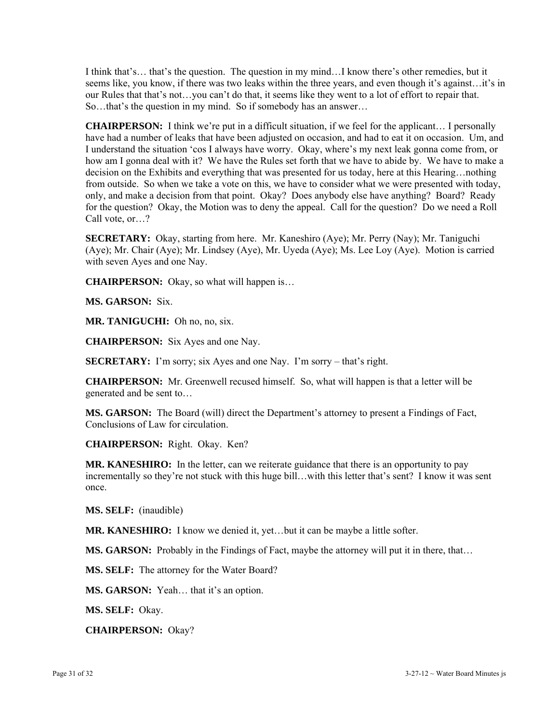I think that's… that's the question. The question in my mind…I know there's other remedies, but it seems like, you know, if there was two leaks within the three years, and even though it's against…it's in our Rules that that's not…you can't do that, it seems like they went to a lot of effort to repair that. So…that's the question in my mind. So if somebody has an answer…

**CHAIRPERSON:** I think we're put in a difficult situation, if we feel for the applicant… I personally have had a number of leaks that have been adjusted on occasion, and had to eat it on occasion. Um, and I understand the situation 'cos I always have worry. Okay, where's my next leak gonna come from, or how am I gonna deal with it? We have the Rules set forth that we have to abide by. We have to make a decision on the Exhibits and everything that was presented for us today, here at this Hearing…nothing from outside. So when we take a vote on this, we have to consider what we were presented with today, only, and make a decision from that point. Okay? Does anybody else have anything? Board? Ready for the question? Okay, the Motion was to deny the appeal. Call for the question? Do we need a Roll Call vote, or…?

**SECRETARY:** Okay, starting from here. Mr. Kaneshiro (Aye); Mr. Perry (Nay); Mr. Taniguchi (Aye); Mr. Chair (Aye); Mr. Lindsey (Aye), Mr. Uyeda (Aye); Ms. Lee Loy (Aye). Motion is carried with seven Ayes and one Nay.

**CHAIRPERSON:** Okay, so what will happen is…

**MS. GARSON:** Six.

**MR. TANIGUCHI:** Oh no, no, six.

**CHAIRPERSON:** Six Ayes and one Nay.

**SECRETARY:** I'm sorry; six Ayes and one Nay. I'm sorry – that's right.

**CHAIRPERSON:** Mr. Greenwell recused himself. So, what will happen is that a letter will be generated and be sent to…

**MS. GARSON:** The Board (will) direct the Department's attorney to present a Findings of Fact, Conclusions of Law for circulation.

**CHAIRPERSON:** Right. Okay. Ken?

**MR. KANESHIRO:** In the letter, can we reiterate guidance that there is an opportunity to pay incrementally so they're not stuck with this huge bill…with this letter that's sent? I know it was sent once.

**MS. SELF:** (inaudible)

**MR. KANESHIRO:** I know we denied it, yet…but it can be maybe a little softer.

**MS. GARSON:** Probably in the Findings of Fact, maybe the attorney will put it in there, that...

**MS. SELF:** The attorney for the Water Board?

**MS. GARSON:** Yeah… that it's an option.

**MS. SELF:** Okay.

**CHAIRPERSON:** Okay?